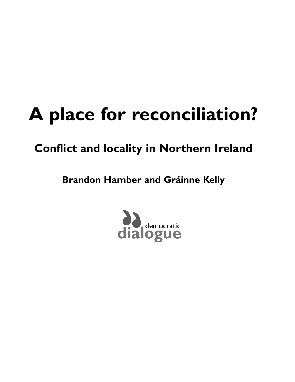# **A place for reconciliation?**

### **Conflict and locality in Northern Ireland**

**Brandon Hamber and Gráinne Kelly**

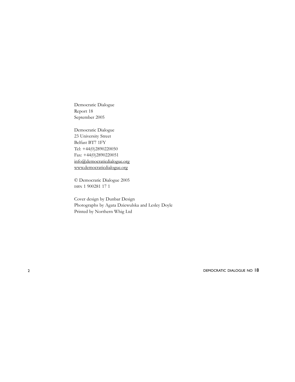Democratic Dialogue Report 18 September 2005

Democratic Dialogue 23 University Street Belfast BT7 1FY Tel: +44(0)2890220050 Fax: +44(0)2890220051 info@democraticdialogue.org www.democraticdialogue.org

© Democratic Dialogue 2005 ISBN 1 900281 17 1

Cover design by Dunbar Design Photographs by Agata Dziewulska and Lesley Doyle Printed by Northern Whig Ltd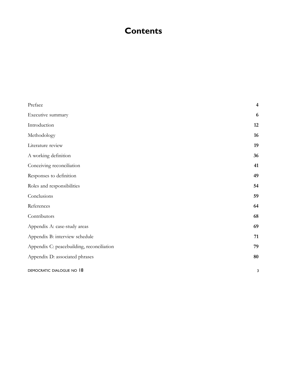### **Contents**

| Preface                                   | $\overline{\mathbf{4}}$ |
|-------------------------------------------|-------------------------|
| Executive summary                         | 6                       |
| Introduction                              | 12                      |
| Methodology                               | 16                      |
| Literature review                         | 19                      |
| A working definition                      | 36                      |
| Conceiving reconciliation                 | 41                      |
| Responses to definition                   | 49                      |
| Roles and responsibilities                | 54                      |
| Conclusions                               | 59                      |
| References                                | 64                      |
| Contributors                              | 68                      |
| Appendix A: case-study areas              | 69                      |
| Appendix B: interview schedule            | 71                      |
| Appendix C: peacebuilding, reconciliation | 79                      |
| Appendix D: associated phrases            | 80                      |
| DEMOCRATIC DIALOGUE NO 18                 | 3                       |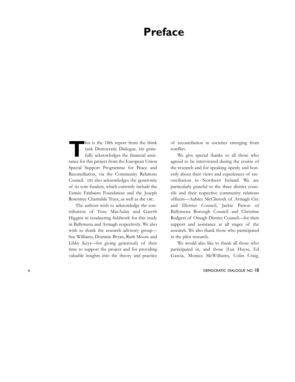### **Preface**

**T**his is the 18th report from the think tank Democratic Dialogue. DD gratefully acknowledges the financial assistance for this project from the European Union Special Support Programme for Peace and Reconciliation, via the Community Relations Council. DD also acknowledges the generosity of its core funders, which currently include the Esmée Fairbairn Foundation and the Joseph Rowntree Charitable Trust, as well as the CRC.

The authors wish to acknowledge the contribution of Tony MacAulay and Gareth Higgins in conducting fieldwork for this study in Ballymena and Armagh respectively. We also wish to thank the research advisory group— Sue Williams, Dominic Bryan, Ruth Moore and Libby Keys—for giving generously of their time to support the project and for providing valuable insights into the theory and practice

of reconciliation in societies emerging from conflict.

We give special thanks to all those who agreed to be interviewed during the course of the research and for speaking openly and honestly about their views and experiences of reconciliation in Northern Ireland. We are particularly grateful to the three district councils and their respective community relations officers—Aubrey McClintock of Armagh City and District Council, Jackie Patton of Ballymena Borough Council and Christine Rodgers of Omagh District Council—for their support and assistance at all stages of the research. We also thank those who participated in the pilot research.

We would also like to thank all those who participated in, and those (Luc Huyse, Ed Garcia, Monica McWilliams, Colin Craig,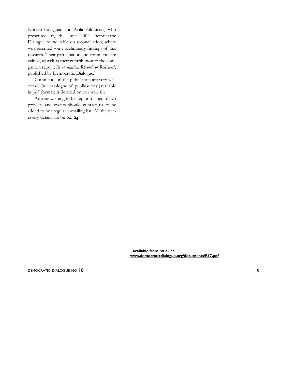Noreen Callaghan and Avila Kilmurray) who presented at, the June 2004 Democratic Dialogue round table on reconciliation, where we presented some preliminary findings of this research. Their participation and comments are valued, as well as their contribution to the companion report, *Reconciliation: Rhetoric or Relevant?*, published by Democratic Dialogue.1

Comments on the publication are very welcome. Our catalogue of publications (available in pdf format) is detailed on our web site.

Anyone wishing to be kept informed of DD projects and events should contact us to be added to our regular e-mailing list. All the necessary details are on p2.  $\lambda$ 

> **1 available from DD or at www.democraticdialogue.org/documents/R17.pdf**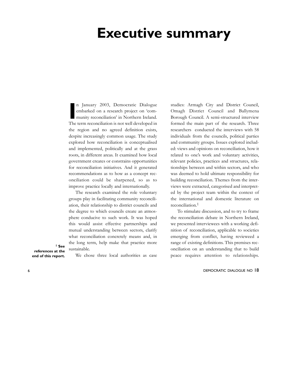### **Executive summary**

**I** n January 2003, Democratic Dialogue embarked on a research project on 'community reconciliation' in Northern Ireland. The term reconciliation is not well developed in the region and no agreed definition exists, despite increasingly common usage. The study explored how reconciliation is conceptualised and implemented, politically and at the grass roots, in different areas. It examined how local government creates or constrains opportunities for reconciliation initiatives. And it generated recommendations as to how as a concept reconciliation could be sharpened, so as to improve practice locally and internationally.

The research examined the role voluntary groups play in facilitating community reconciliation, their relationship to district councils and the degree to which councils create an atmosphere conducive to such work. It was hoped this would assist effective partnerships and mutual understanding between sectors, clarify what reconciliation concretely means and, in the long term, help make that practice more sustainable.

**references at the end of this report.**

**1 See**

We chose three local authorities as case

studies: Armagh City and District Council, Omagh District Council and Ballymena Borough Council. A semi-structured interview formed the main part of the research. Three researchers conducted the interviews with 58 individuals from the councils, political parties and community groups. Issues explored included: views and opinions on reconciliation, how it related to one's work and voluntary activities, relevant policies, practices and structures, relationships between and within sectors, and who was deemed to hold ultimate responsibility for building reconciliation. Themes from the interviews were extracted, categorised and interpreted by the project team within the context of the international and domestic literature on reconciliation.1

To stimulate discussion, and to try to frame the reconciliation debate in Northern Ireland, we presented interviewees with a working definition of reconciliation, applicable to societies emerging from conflict, having revieweed a range of existing definitions. This premises reconciliation on an understanding that to build peace requires attention to relationships.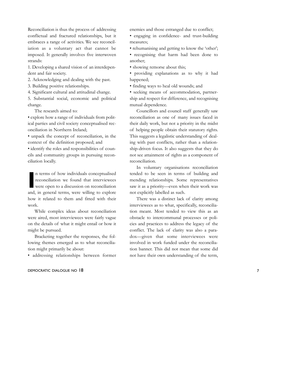Reconciliation is thus the process of addressing conflictual and fractured relationships, but it embraces a range of activities. We see reconciliation as a voluntary act that cannot be imposed. It generally involves five interwoven strands:

1. Developing a shared vision of an interdependent and fair society.

2. Acknowledging and dealing with the past.

3. Building positive relationships.

4. Significant cultural and attitudinal change. 5. Substantial social, economic and political change.

The research aimed to:

• explore how a range of individuals from political parties and civil society conceptualised reconciliation in Northern Ireland;

• unpack the concept of reconciliation, in the context of the definition proposed; and

• identify the roles and responsibilities of councils and community groups in pursuing reconciliation locally.

In terms of how individuals conceptualised<br> **I** reconciliation we found that interviewees<br>
were open to a discussion on reconciliation<br>
and, in general terms, were willing to explore n terms of how individuals conceptualised reconciliation we found that interviewees were open to a discussion on reconciliation how it related to them and fitted with their work.

While complex ideas about reconciliation were aired, most interviewees were fairly vague on the details of what it might entail or how it might be pursued.

Bracketing together the responses, the following themes emerged as to what reconciliation might primarily be about:

• addressing relationships between former

### DEMOCRATIC DIALOGUE NO 18 7

enemies and those estranged due to conflict;

• engaging in confidence- and trust-building measures;

• rehumanising and getting to know the 'other'; • recognising that harm had been done to another;

• showing remorse about this;

• providing explanations as to why it had happened;

• finding ways to heal old wounds; and

• seeking means of accommodation, partnership and respect for difference, and recognising mutual dependence.

Councillors and council staff generally saw reconciliation as one of many issues faced in their daily work, but not a priority in the midst of helping people obtain their statutory rights. This suggests a legalistic understanding of dealing with past conflicts, rather than a relationship-driven focus. It also suggests that they do not see attainment of rights as a component of reconciliation.

In voluntary organisations reconciliation tended to be seen in terms of building and mending relationships. Some representatives saw it as a priority—even when their work was not explicitly labelled as such.

There was a distinct lack of clarity among interviewees as to what, specifically, reconciliation meant. Most tended to view this as an obstacle to intercommunal processes or policies and practices to address the legacy of the conflict. The lack of clarity was also a paradox—given that some interviewees were involved in work funded under the reconciliation banner. This did not mean that some did not have their own understanding of the term,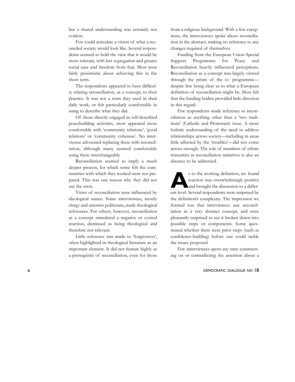but a shared understanding was certainly not evident.

Few could articulate a vision of what a reconciled society would look like. Several respondents seemed to hold the view that it would be more tolerant, with less segregation and greater social ease and freedom from fear. Most were fairly pessimistic about achieving this in the short term.

The respondents appeared to have difficulty relating reconciliation, as a concept, to their practice. It was not a term they used in their daily work, or felt particularly comfortable in using to describe what they did.

Of those directly engaged in self-described peacebuilding activities, most appeared more comfortable with 'community relations', 'good relations' or 'community cohesion'. No interviewee advocated replacing these with reconciliation, although many seemed comfortable using them interchangeably.

Reconciliation seemed to imply a much deeper process, for which some felt the communities with which they worked were not prepared. This was one reason why they did not use the term.

Views of reconciliation were influenced by ideological stance. Some interviewees, mostly clergy and unionist politicians, made theological references. For others, however, reconciliation as a concept stimulated a negative or cynical reaction, dismissed as being theological and therefore not relevant.

Little reference was made to 'forgiveness', often highlighted in theological literature as an important element. It did not feature highly as a prerequisite of reconciliation, even for those from a religious background. With a few exceptions, the interviewees spoke about reconciliation in the abstract, making no reference to any changes required of themselves.

Funding from the European Union Special Support Programme for Peace and Reconciliation heavily influenced perceptions. Reconciliation as a concept was largely viewed through the prism of the EU programme despite few being clear as to what a European definition of reconciliation might be. Most felt that the funding bodies provided little direction in this regard.

Few respondents made reference to reconciliation as anything other than a 'two traditions' (Catholic and Protestant) issue. A more holistic understanding of the need to address relationships across society—including in areas little affected by the 'troubles'—did not come across strongly. The role of members of ethnic minorities in reconciliation initiatives is also an absence to be addressed.

**A**s to the working definition, we found reaction was overwhelmingly positive and brought the discussion to a different level. Several respondents were surprised by the definition's complexity. The impression we formed was that interviewees saw reconciliation as a very abstract concept, and were pleasantly surprised to see it broken down into possible steps or components. Some questioned whether there were prior steps (such as confidence-building) before one could tackle the issues proposed.

Few interviewees spent any time commenting on or contradicting the assertion about a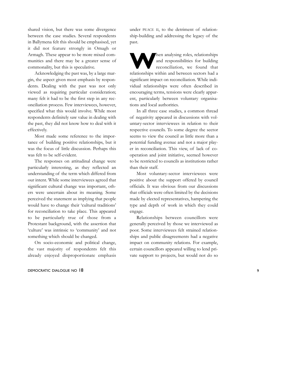shared vision, but there was some divergence between the case studies. Several respondents in Ballymena felt this should be emphasised, yet it did not feature strongly in Omagh or Armagh. These appear to be more mixed communities and there may be a greater sense of commonality, but this is speculative.

Acknowledging the past was, by a large margin, the aspect given most emphasis by respondents. Dealing with the past was not only viewed as requiring particular consideration; many felt it had to be the first step in any reconciliation process. Few interviewees, however, specified what this would involve. While most respondents definitely saw value in dealing with the past, they did not know how to deal with it effectively.

Most made some reference to the importance of building positive relationships, but it was the focus of little discussion. Perhaps this was felt to be self-evident.

The responses on attitudinal change were particularly interesting, as they reflected an understanding of the term which differed from our intent. While some interviewees agreed that significant cultural change was important, others were uncertain about its meaning. Some perceived the statement as implying that people would have to change their 'cultural traditions' for reconciliation to take place. This appeared to be particularly true of those from a Protestant background, with the assertion that 'culture' was intrinsic to 'community' and not something which should be changed.

On socio-economic and political change, the vast majority of respondents felt this already enjoyed disproportionate emphasis

### DEMOCRATIC DIALOGUE NO 18 9

under PEACE II, to the detriment of relationship-building and addressing the legacy of the past.

Then analysing roles, relationships<br>
and responsibilities for building<br>
reconciliation, we found that and responsibilities for building relationships within and between sectors had a significant impact on reconciliation. While individual relationships were often described in encouraging terms, tensions were clearly apparent, particularly between voluntary organisations and local authorities.

In all three case studies, a common thread of negativity appeared in discussions with voluntary-sector interviewees in relation to their respective councils. To some degree the sector seems to view the council as little more than a potential funding avenue and not a major player in reconciliation. This view, of lack of cooperation and joint initiative, seemed however to be restricted to councils as institutions rather than their staff.

Most voluntary-sector interviewees were positive about the support offered by council officials. It was obvious from our discussions that officials were often limited by the decisions made by elected representatives, hampering the type and depth of work in which they could engage.

Relationships between councillors were generally perceived by those we interviewed as poor. Some interviewees felt strained relationships and public disagreements had a negative impact on community relations. For example, certain councillors appeared willing to lend private support to projects, but would not do so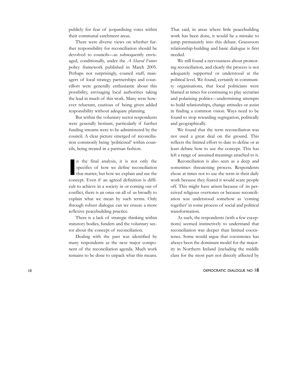publicly for fear of jeopardising votes within their communal catchment areas.

There were diverse views on whether further responsibility for reconciliation should be devolved to councils—as subsequently envisaged, conditionally, under the *A Shared Future* policy framework published in March 2005. Perhaps not surprisingly, council staff, managers of local strategy partnerships and councillors were generally enthusiastic about this possibility, envisaging local authorities taking the lead in much of this work. Many were however reluctant, cautious of being given added responsibility without adequate planning.

But within the voluntary sector respondents were generally hesitant, particularly if further funding streams were to be administered by the council. A clear picture emerged of reconciliation commonly being 'politicised' within councils, being treated in a partisan fashion.

**I** n the final analysis, it is not only the specifics of how we define reconciliation that matter, but how we explain and use the concept. Even if an agreed definition is difficult to achieve in a society in or coming out of conflict, there is an onus on all of us broadly to explain what we mean by such terms. Only through robust dialogue can we ensure a more reflexive peacebuilding practice.

There is a lack of strategic thinking within statutory bodies, funders and the voluntary sector about the concept of reconciliation.

Dealing with the past was identified by many respondents as the next major component of the reconciliation agenda. Much work remains to be done to unpack what this means. That said, in areas where little peacebuilding work has been done, it would be a mistake to jump prematurely into this debate. Grassroots relationship-building and basic dialogue is first needed.

We still found a nervousness about promoting reconciliation, and clearly the process is not adequately supported or understood at the political level. We found, certainly in community organisations, that local politicians were blamed at times for continuing to play sectarian and polarising politics—undermining attempts to build relationships, change attitudes or assist in finding a common vision. Ways need to be found to stop rewarding segregation, politically and geographically.

We found that the term reconciliation was not used a great deal on the ground. This reflects the limited effort to date to define or at least debate how to use the concept. This has left a range of assumed meanings attached to it.

Reconciliation is also seen as a deep and sometimes threatening process. Respondents chose at times not to use the term in their daily work because they feared it would scare people off. This might have arisen because of its perceived religious overtones or because reconciliation was understood somehow as 'coming together' in some process of social and political transformation.

As such, the respondents (with a few exceptions) seemed instinctively to understand that reconciliation was deeper than limited coexistence. Some would argue that coexistence has always been the dominant model for the majority in Northern Ireland (including the middle class for the most part not directly affected by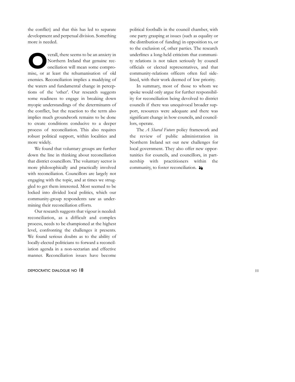the conflict) and that this has led to separate development and perpetual division. Something more is needed.

**Overall, there seems to be an anxiety in**<br>
Northern Ireland that genuine reconciliation will mean some compro-Northern Ireland that genuine reconciliation will mean some compromise, or at least the rehumanisation of old enemies. Reconciliation implies a muddying of the waters and fundamental change in perceptions of the 'other'. Our research suggests some readiness to engage in breaking down myopic understandings of the determinants of the conflict, but the reaction to the term also implies much groundwork remains to be done to create conditions conducive to a deeper process of reconciliation. This also requires robust political support, within localities and more widely.

We found that voluntary groups are further down the line in thinking about reconciliation that district councillors. The voluntary sector is more philosophically and practically involved with reconciliation. Councillors are largely not engaging with the topic, and at times we struggled to get them interested. Most seemed to be locked into divided local politics, which our community-group respondents saw as undermining their reconciliation efforts.

Our research suggests that vigour is needed: reconciliation, as a difficult and complex process, needs to be championed at the highest level, confronting the challenges it presents. We found serious doubts as to the ability of locally-elected politicians to forward a reconciliation agenda in a non-sectarian and effective manner. Reconciliation issues have become

### DEMOCRATIC DIALOGUE NO 18 11

political footballs in the council chamber, with one party grasping at issues (such as equality or the distribution of funding) in opposition to, or to the exclusion of, other parties. The research underlines a long-held criticism that community relations is not taken seriously by council officials or elected representatives, and that community-relations officers often feel sidelined, with their work deemed of low priority.

In summary, most of those to whom we spoke would only argue for further responsibility for reconciliation being devolved to district councils if there was unequivocal broader support, resources were adequate and there was significant change in how councils, and councillors, operate.

The *A Shared Future* policy framework and the review of public administration in Northern Ireland set out new challenges for local government. They also offer new opportunities for councils, and councillors, in partnership with practitioners within the community, to foster reconciliation.  $\lambda$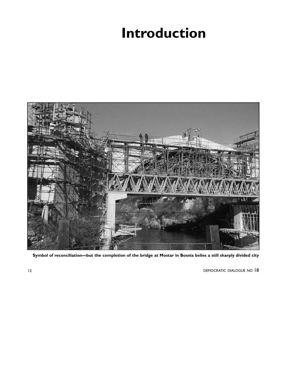# **Introduction**



**Symbol of reconciliation—but the completion of the bridge at Mostar in Bosnia belies a still sharply divided city**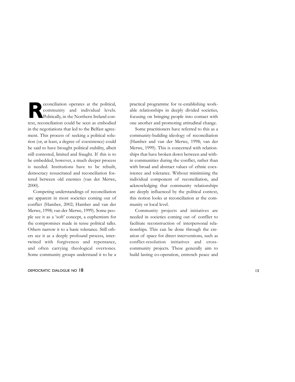**R**econciliation operates at the political, community and individual levels. Politically, in the Northern Ireland context, reconciliation could be seen as embodied in the negotiations that led to the Belfast agreement. This process of seeking a political solution (or, at least, a degree of coexistence) could be said to have brought political stability, albeit still contested, limited and fraught. If this is to be embedded, however, a much deeper process is needed. Institutions have to be rebuilt, democracy resuscitated and reconciliation fostered between old enemies (van der Merwe, 2000).

Competing understandings of reconciliation are apparent in most societies coming out of conflict (Hamber, 2002; Hamber and van der Merwe, 1998; van der Merwe, 1999). Some people see it as a 'soft' concept, a euphemism for the compromises made in tense political talks. Others narrow it to a basic tolerance. Still others see it as a deeply profound process, intertwined with forgiveness and repentance, and often carrying theological overtones. Some community groups understand it to be a

### DEMOCRATIC DIALOGUE NO 18 13

practical programme for re-establishing workable relationships in deeply divided societies, focusing on bringing people into contact with one another and promoting attitudinal change.

Some practitioners have referred to this as a community-building ideology of reconciliation (Hamber and van der Merwe, 1998; van der Merwe, 1999). This is concerned with relationships that have broken down between and within communities during the conflict, rather than with broad and abstract values of ethnic coexistence and tolerance. Without minimising the individual component of reconciliation, and acknowledging that community relationships are deeply influenced by the political context, this notion looks at reconciliation at the community or local level.

Community projects and initiatives are needed in societies coming out of conflict to facilitate reconstruction of interpersonal relationships. This can be done through the creation of space for direct interventions, such as conflict-resolution initiatives and crosscommunity projects. These generally aim to build lasting co-operation, entrench peace and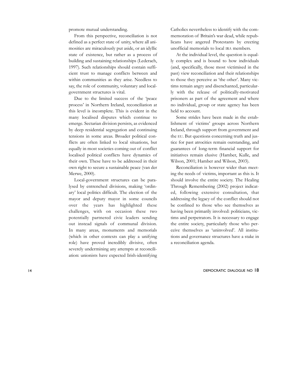promote mutual understanding.

From this perspective, reconciliation is not defined as a perfect state of unity, where all animosities are miraculously put aside, or an idyllic state of existence, but rather as a process of building and sustaining relationships (Lederach, 1997). Such relationships should contain sufficient trust to manage conflicts between and within communities as they arise. Needless to say, the role of community, voluntary and localgovernment structures is vital.

Due to the limited success of the 'peace process' in Northern Ireland, reconciliation at this level is incomplete. This is evident in the many localised disputes which continue to emerge. Sectarian division persists, as evidenced by deep residential segregation and continuing tensions in some areas. Broader political conflicts are often linked to local situations, but equally in most societies coming out of conflict localised political conflicts have dynamics of their own. These have to be addressed in their own right to secure a sustainable peace (van der Merwe, 2000).

Local-government structures can be paralysed by entrenched divisions, making 'ordinary' local politics difficult. The election of the mayor and deputy mayor in some councils over the years has highlighted these challenges, with on occasion these two potentially partnered civic leaders sending out instead signals of communal division. In many areas, monuments and memorials (which in other contexts can play a unifying role) have proved incredibly divisive, often severely undermining any attempts at reconciliation: unionists have expected Irish-identifying

Catholics nevertheless to identify with the commemoration of Britain's war dead, while republicans have angered Protestants by erecting unofficial memorials to local IRA members.

At the individual level, the question is equally complex and is bound to how individuals (and, specifically, those most victimised in the past) view reconciliation and their relationships to those they perceive as 'the other'. Many victims remain angry and disenchanted, particularly with the release of politically-motivated prisoners as part of the agreement and where no individual, group or state agency has been held to account.

Some strides have been made in the establishment of victims' groups across Northern Ireland, through support from government and the EU. But questions concerning truth and justice for past atrocities remain outstanding, and guarantees of long-term financial support for initiatives remain elusive (Hamber, Kulle, and Wilson, 2001; Hamber and Wilson, 2003).

Reconciliation is however wider than meeting the needs of victims, important as this is. It should involve the entire society. The Healing Through Remembering (2002) project indicated, following extensive consultation, that addressing the legacy of the conflict should not be confined to those who see themselves as having been primarily involved: politicians, victims and perpetrators. It is necessary to engage the entire society, particularly those who perceive themselves as 'uninvolved'. All institutions and governance structures have a stake in a reconciliation agenda.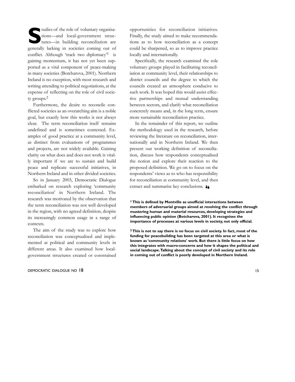tudies of the role of voluntary organisa-<br>tions—and local-government struc-<br>tures—in building reconciliation are tions—and local-government structures—in building reconciliation are generally lacking in societies coming out of conflict. Although 'track two diplomacy'<sup>1</sup> is gaining momentum, it has not yet been supported as a vital component of peace-making in many societies (Botcharova, 2001). Northern Ireland is no exception, with most research and writing attending to political negotiations, at the expense of reflecting on the role of civil society groups.2

Furthermore, the desire to reconcile conflicted societies as an overarching aim is a noble goal, but exactly how this works is not always clear. The term reconciliation itself remains undefined and is sometimes contested. Examples of good practice at a community level, as distinct from evaluations of programmes and projects, are not widely available. Gaining clarity on what does and does not work is vitally important if we are to sustain and build peace and replicate successful initiatives, in Northern Ireland and in other divided societies.

So in January 2003, Democratic Dialogue embarked on research exploring 'community reconciliation' in Northern Ireland. The research was motivated by the observation that the term reconciliation was not well developed in the region, with no agreed definition, despite its increasingly common usage in a range of contexts.

The aim of the study was to explore how reconciliation was conceptualised and implemented at political and community levels in different areas. It also examined how localgovernment structures created or constrained

### DEMOCRATIC DIALOGUE NO 18 15

opportunities for reconciliation initiatives. Finally, the study aimed to make recommendations as to how reconciliation as a concept could be sharpened, so as to improve practice locally and internationally.

Specifically, the research examined the role voluntary groups played in facilitating reconciliation at community level, their relationships to district councils and the degree to which the councils created an atmosphere conducive to such work. It was hoped this would assist effective partnerships and mutual understanding between sectors, and clarify what reconciliation concretely means and, in the long term, ensure more sustainable reconciliation practice.

In the remainder of this report, we outline the methodology used in the research, before reviewing the literature on reconciliation, internationally and in Northern Ireland. We then present our working definition of reconciliation, discuss how respondents conceptualised the notion and explore their reaction to the proposed definition. We go on to focus on the respondents' views as to who has responsibility for reconciliation at community level, and then extract and summarise key conclusions.  $\lambda$ 

**1 This is defined by Montville as unofficial interactions between members of adversarial groups aimed at resolving the conflict through mustering human and material resources, developing strategies and influencing public opinion (Botcharova, 2001). It recognises the importance of processes at various levels in society, not only official.**

**2 This is not to say there is no focus on civil society. In fact, most of the funding for peacebuilding has been targeted at this area or what is known as 'community relations' work. But there is little focus on how this integrates with macro-concerns and how it shapes the political and social landscape.Talking about the concept of civil society and its role in coming out of conflict is poorly developed in Northern Ireland.**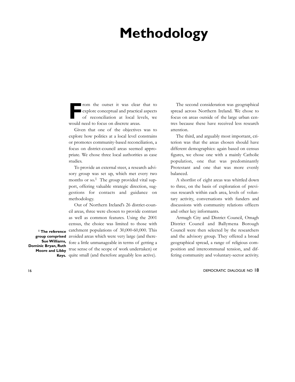### **Methodology**

From the outset it was clear that to explore conceptual and practical aspects of reconciliation at local levels, we explore conceptual and practical aspects of reconciliation at local levels, we would need to focus on discrete areas.

Given that one of the objectives was to explore how politics at a local level constrains or promotes community-based reconciliation, a focus on district-council areas seemed appropriate. We chose three local authorities as case studies.

To provide an external steer, a research advisory group was set up, which met every two months or so.<sup>1</sup> The group provided vital support, offering valuable strategic direction, suggestions for contacts and guidance on methodology.

Out of Northern Ireland's 26 district-council areas, three were chosen to provide contrast as well as common features. Using the 2001 census, the choice was limited to those with catchment populations of 30,000-60,000. This group comprised avoided areas which were very large (and therefore a little unmanageable in terms of getting a true sense of the scope of work undertaken) or Keys. quite small (and therefore arguably less active).

The second consideration was geographical spread across Northern Ireland. We chose to focus on areas outside of the large urban centres because these have received less research attention.

The third, and arguably most important, criterion was that the areas chosen should have different demographics: again based on census figures, we chose one with a mainly Catholic population, one that was predominantly Protestant and one that was more evenly balanced.

A shortlist of eight areas was whittled down to three, on the basis of exploration of previous research within each area, levels of voluntary activity, conversations with funders and discussions with community relations officers and other key informants.

Armagh City and District Council, Omagh District Council and Ballymena Borough Council were then selected by the researchers and the advisory group. They offered a broad geographical spread, a range of religious composition and intercommunal tension, and differing community and voluntary-sector activity.

16 DEMOCRATIC DIALOGUE NO 18

**1 The reference Sue Williams, Dominic Bryan, Ruth Moore and Libby**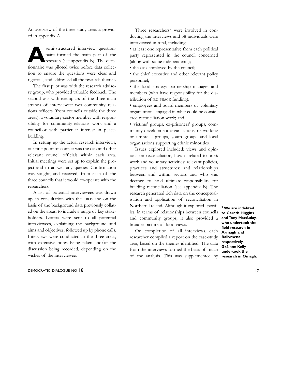An overview of the three study areas is provided in appendix A.

semi-structured interview question-<br>
naire formed the main part of the<br>
research (see appendix B). The ques-<br>
tingnalize may all the higher head that palled naire formed the main part of the research (see appendix B). The questionnaire was piloted twice before data collection to ensure the questions were clear and rigorous, and addressed all the research themes.

The first pilot was with the research advisory group, who provided valuable feedback. The second was with exemplars of the three main strands of interviewee: two community relations officers (from councils outside the three areas), a voluntary-sector member with responsibility for community-relations work and a councillor with particular interest in peacebuilding.

In setting up the actual research interviews, our first point of contact was the CRO and other relevant council officials within each area. Initial meetings were set up to explain the project and to answer any queries. Confirmation was sought, and received, from each of the three councils that it would co-operate with the researchers.

A list of potential interviewees was drawn up, in consultation with the CROs and on the basis of the background data previously collated on the areas, to include a range of key stakeholders. Letters were sent to all potential interviewees, explaining the background and aims and objectives, followed up by phone calls. Interviews were conducted in the three areas, with extensive notes being taken and/or the discussion being recorded, depending on the wishes of the interviewee.

### DEMOCRATIC DIALOGUE NO 18 17

Three researchers<sup>2</sup> were involved in conducting the interviews and 58 individuals were interviewed in total, including:

• at least one representative from each political party represented in the council concerned (along with some independents);

• the CRO employed by the council;

• the chief executive and other relevant policy personnel;

• the local strategy partnership manager and members (who have responsibility for the distribution of EU PEACE funding);

• employees and board members of voluntary organisations engaged in what could be considered reconciliation work; and

• victims' groups, ex-prisoners' groups, community-development organisations, networking or umbrella groups, youth groups and local organisations supporting ethnic minorities.

Issues explored included: views and opinions on reconciliation; how it related to one's work and voluntary activities; relevant policies, practices and structures; and relationships between and within sectors and who was deemed to hold ultimate responsibility for building reconciliation (see appendix B). The research generated rich data on the conceptualisation and application of reconciliation in Northern Ireland. Although it explored specifics, in terms of relationships between councils and community groups, it also provided a broader picture of local views.

On completion of all interviews, each researcher compiled a report on the case-study area, based on the themes identified. The data from the interviews formed the basis of much of the analysis. This was supplemented by

**2We are indebted to Gareth Higgins and Tony MacAulay, who undertook the field research in Armagh and Ballymena respectively. Gráinne Kelly undertook the research in Omagh.**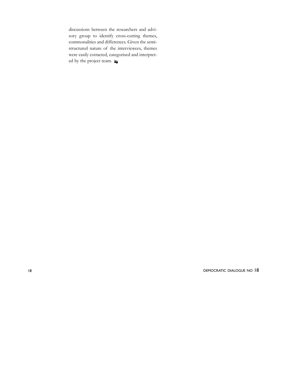discussions between the researchers and advisory group to identify cross-cutting themes, commonalities and differences. Given the semistructured nature of the interviewees, themes were easily extracted, categorised and interpreted by the project team.  $\lambda$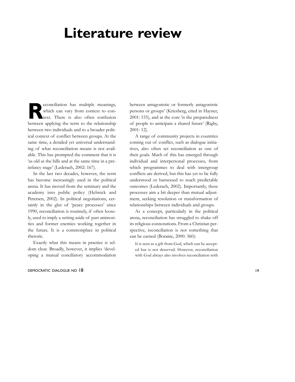### **Literature review**

**Reconciliation** has multiple meanings,<br>which can vary from context to con-<br>text. There is also often confusion which can vary from context to context. There is also often confusion between applying the term to the relationship between two individuals and to a broader political context of conflict between groups. At the same time, a detailed yet universal understanding of what reconciliation means is not available. This has prompted the comment that it is 'as old as the hills and at the same time in a preinfancy stage' (Lederach, 2002: 167).

In the last two decades, however, the term has become increasingly used in the political arena. It has moved from the seminary and the academy into public policy (Helmick and Petersen, 2002). In political negotiations, certainly in the glut of 'peace processes' since 1990, reconciliation is routinely, if often loosely, used to imply a setting aside of past animosities and former enemies working together in the future. It is a commonplace in political rhetoric.

Exactly what this means in practice is seldom clear. Broadly, however, it implies 'developing a mutual conciliatory accommodation

### DEMOCRATIC DIALOGUE NO 18 19

between antagonistic or formerly antagonistic persons or groups' (Kriesberg, cited in Hayner, 2001: 155), and at the core 'is the preparedness of people to anticipate a shared future' (Rigby, 2001: 12).

A range of community projects in countries coming out of conflict, such as dialogue initiatives, also often set reconciliation as one of their goals. Much of this has emerged through individual and interpersonal processes, from which programmes to deal with intergroup conflicts are derived, but this has yet to be fully understood or harnessed to reach predictable outcomes (Lederach, 2002). Importantly, these processes aim a bit deeper than mutual adjustment, seeking resolution or transformation of relationships between individuals and groups.

As a concept, particularly in the political arena, reconciliation has struggled to shake off its religious connotations. From a Christian perspective, reconciliation is not something that can be earned (Boraine, 2000: 360):

It is seen as a gift from God, which can be accepted but is not deserved. However, reconciliation with God always also involves reconciliation with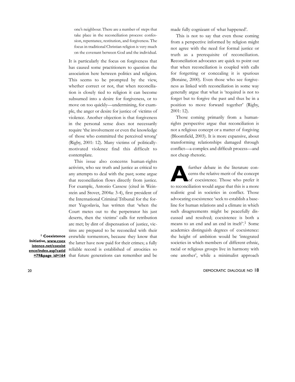one's neighbour. There are a number of steps that take place in the reconciliation process: confession, repentance, restitution, and forgiveness. The focus in traditional Christian religion is very much on the covenant between God and the individual.

It is particularly the focus on forgiveness that has caused some practitioners to question the association here between politics and religion. This seems to be prompted by the view, whether correct or not, that when reconciliation is closely tied to religion it can become subsumed into a desire for forgiveness, or to move on too quickly—undermining, for example, the anger or desire for justice of victims of violence. Another objection is that forgiveness in the personal sense does not necessarily require 'the involvement or even the knowledge of those who committed the perceived wrong' (Rigby, 2001: 12). Many victims of politicallymotivated violence find this difficult to contemplate.

This issue also concerns human-rights activists, who see truth and justice as critical to any attempts to deal with the past; some argue that reconciliation flows directly from justice. For example, Antonio Cassese (cited in Weinstein and Stover, 2004a: 3-4), first president of the International Criminal Tribunal for the former Yugoslavia, has written that 'when the Court metes out to the perpetrator his just deserts, then the victims' calls for retribution are met; by dint of dispensation of justice, victims are prepared to be reconciled with their <sup>1</sup> Coexistence erstwhile tormentors, because they know that the latter have now paid for their crimes; a fully reliable record is established of atrocities so =79&page\_id=164 that future generations can remember and be

**Initiative, www.coex istence.net/coexist ence/index.asp?catid** made fully cognizant of what happened'.

This is not to say that even those coming from a perspective informed by religion might not agree with the need for formal justice or truth as a prerequisite of reconciliation. Reconciliation advocates are quick to point out that when reconciliation is coupled with calls for forgetting or concealing it is spurious (Boraine, 2000). Even those who see forgiveness as linked with reconciliation in some way generally argue that what is 'required is not to forget but to forgive the past and thus be in a position to move forward together' (Rigby, 2001: 12).

Those coming primarily from a humanrights perspective argue that reconciliation is not a religious concept or a matter of forgiving (Bloomfield, 2003). It is more expansive, about transforming relationships damaged through conflict—a complex and difficult process—and not cheap rhetoric.

further debate in the literature con-<br>cerns the relative merit of the concept<br>of coexistence. Those who prefer it cerns the relative merit of the concept of coexistence. Those who prefer it to reconciliation would argue that this is a more realistic goal in societies in conflict. Those advocating coexistence 'seek to establish a baseline for human relations and a climate in which such disagreements might be peacefully discussed and resolved; coexistence is both a means to an end and an end in itself'.<sup>1</sup> Some academics distinguish degrees of coexistence: the height of ambition would be 'integrated societies in which members of different ethnic, racial or religious groups live in harmony with one another', while a minimalist approach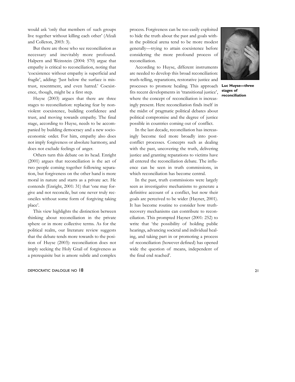would ask 'only that members of such groups live together without killing each other' (Afzali and Colleton, 2003: 3).

But there are those who see reconciliation as necessary and inevitably more profound. Halpern and Weinstein (2004: 570) argue that empathy is critical to reconciliation, noting that 'coexistence without empathy is superficial and fragile', adding: 'Just below the surface is mistrust, resentment, and even hatred.' Coexistence, though, might be a first step.

Huyse (2003) argues that there are three stages to reconciliation: replacing fear by nonviolent coexistence, building confidence and trust, and moving towards empathy. The final stage, according to Huyse, needs to be accompanied by building democracy and a new socioeconomic order. For him, empathy also does not imply forgiveness or absolute harmony, and does not exclude feelings of anger.

Others turn this debate on its head. Enright (2001) argues that reconciliation is the act of two people coming together following separation, but forgiveness on the other hand is more moral in nature and starts as a private act. He contends (Enright, 2001: 31) that 'one may forgive and not reconcile, but one never truly reconciles without some form of forgiving taking place'.

This view highlights the distinction between thinking about reconciliation in the private sphere or in more collective terms. As for the political realm, our literature review suggests that the debate tends more towards to the position of Huyse (2003): reconciliation does not imply seeking the Holy Grail of forgiveness as a prerequisite but is amore subtle and complex

### DEMOCRATIC DIALOGUE NO 18 21

process. Forgiveness can be too easily exploited to hide the truth about the past and goals within the political arena tend to be more modest generally—trying to attain coexistence before considering the more profound process of reconciliation.

According to Huyse, different instruments are needed to develop this broad reconciliation: truth-telling, reparations, restorative justice and processes to promote healing. This approach fits recent developments in 'transitional justice', where the concept of reconciliation is increasingly present. Here reconciliation finds itself in the midst of pragmatic political debates about political compromise and the degree of justice possible in countries coming out of conflict.

In the last decade, reconciliation has increasingly become tied more broadly into postconflict processes. Concepts such as dealing with the past, uncovering the truth, delivering justice and granting reparations to victims have all entered the reconciliation debate. The influence can be seen in truth commissions, in which reconciliation has become central.

In the past, truth commissions were largely seen as investigative mechanisms to generate a definitive account of a conflict, but now their goals are perceived to be wider (Hayner, 2001). It has become routine to consider how truthrecovery mechanisms can contribute to reconciliation. This prompted Hayner (2001: 252) to write that 'the possibility of holding public hearings, advancing societal and individual healing, and taking part in or promoting a process of reconciliation (however defined) has opened wide the question of means, independent of the final end reached'.



**Luc Huyse—three stages of reconciliation**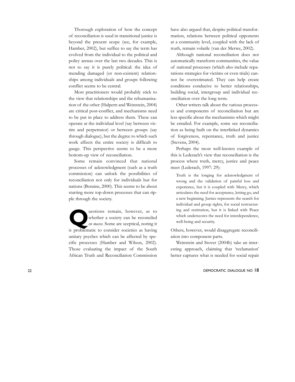Thorough exploration of how the concept of reconciliation is used in transitional justice is beyond the present scope (see, for example, Hamber, 2002), but suffice to say the term has evolved from the individual to the political and policy arenas over the last two decades. This is not to say it is purely political: the idea of mending damaged (or non-existent) relationships among individuals and groups following conflict seems to be central.

Most practitioners would probably stick to the view that relationships and the rehumanisation of the other (Halpern and Weinstein, 2004) are critical post-conflict, and mechanisms need to be put in place to address them. These can operate at the individual level (say between victim and perpetrator) or between groups (say through dialogue), but the degree to which such work affects the entire society is difficult to gauge. This perspective seems to be a more bottom-up view of reconciliation.

Some remain convinced that national processes of acknowledgment (such as a truth commission) can unlock the possibilities of reconciliation not only for individuals but for nations (Boraine, 2000). This seems to be about starting more top-down processes that can ripple through the society.

**Q**uestions remain, however, as to whether a society can be reconciled *en masse*. Some are sceptical, noting it whether a society can be reconciled is problematic to consider societies as having unitary psyches which can be affected by specific processes (Hamber and Wilson, 2002). Those evaluating the impact of the South African Truth and Reconciliation Commission have also argued that, despite political transformation, relations between political opponents at a community level, coupled with the lack of truth, remain volatile (van der Merwe, 2002).

Although national reconciliation does not automatically transform communities, the value of national processes (which also include reparations strategies for victims or even trials) cannot be overestimated. They can help create conditions conducive to better relationships, building social, intergroup and individual reconciliation over the long term.

Other writers talk about the various processes and components of reconciliation but are less specific about the mechanisms which might be entailed. For example, some see reconciliation as being built on the interlinked dynamics of forgiveness, repentance, truth and justice (Stevens, 2004).

Perhaps the most well-known example of this is Lederach's view that reconciliation is the process where truth, mercy, justice and peace meet (Lederach, 1997: 29):

Truth is the longing for acknowledgment of wrong and the validation of painful loss and experience, but it is coupled with Mercy, which articulates the need for acceptance, letting go, and a new beginning. Justice represents the search for individual and group rights, for social restructuring and restitution, but it is linked with Peace which underscores the need for interdependence, well-being and security.

Others, however, would disaggregate reconciliation into component parts.

Weinstein and Stover (2004b) take an interesting approach, claiming that 'reclamation' better captures what is needed for social repair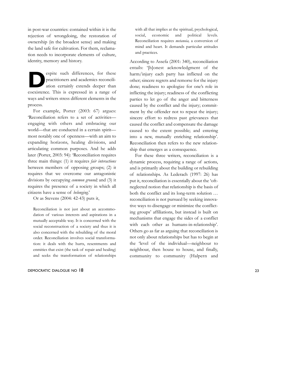in post-war countries: contained within it is the rejection of wrongdoing, the restoration of ownership (in the broadest sense) and making the land safe for cultivation. For them, reclamation needs to incorporate elements of culture, identity, memory and history.

espite such differences, for these<br>practitioners and academics reconciliation certainly extends deeper than practitioners and academics reconciliation certainly extends deeper than coexistence. This is expressed in a range of ways and writers stress different elements in the process.

For example, Porter (2003: 67) argues: 'Reconciliation refers to a set of activities engaging with others and embracing our world—that are conducted in a certain spirit most notably one of openness—with an aim to expanding horizons, healing divisions, and articulating common purposes. And he adds later (Porter, 2003: 94): 'Reconciliation requires three main things: (1) it requires *fair interactions* between members of opposing groups; (2) it requires that we overcome our antagonistic divisions by occupying *common ground;* and (3) it requires the presence of a society in which all citizens have a sense of *belonging*.'

Or as Stevens (2004: 42-43) puts it,

Reconciliation is not just about an accommodation of various interests and aspirations in a mutually acceptable way. It is concerned with the social reconstruction of a society and thus it is also concerned with the rebuilding of the moral order. Reconciliation involves social transformation: it deals with the hurts, resentments and enmities that exist (the task of repair and healing) and seeks the transformation of relationships

### DEMOCRATIC DIALOGUE NO 18 23

with all that implies at the spiritual, psychological, social, economic and political levels. Reconciliation requires *metanoia,* a conversion of mind and heart. It demands particular attitudes and practices.

According to Assefa (2001: 340), reconciliation entails: '[h]onest acknowledgment of the harm/injury each party has inflicted on the other; sincere regrets and remorse for the injury done; readiness to apologize for one's role in inflicting the injury; readiness of the conflicting parties to let go of the anger and bitterness caused by the conflict and the injury; commitment by the offender not to repeat the injury; sincere effort to redress past grievances that caused the conflict and compensate the damage caused to the extent possible; and entering into a new, mutually enriching relationship'. Reconciliation then refers to the new relationship that emerges as a consequence.

For these three writers, reconciliation is a dynamic process, requiring a range of actions, and is primarily about the building or rebuilding of relationships. As Lederach (1997: 26) has put it, reconciliation is essentially about the 'oftneglected notion that relationship is the basis of both the conflict and its long-term solution … reconciliation is not pursued by seeking innovative ways to disengage or minimize the conflicting groups' affiliations, but instead is built on mechanisms that engage the sides of a conflict with each other as humans-in-relationship'. Others go as far as arguing that reconciliation is not only about relationships but has to begin at the 'level of the individual—neighbour to neighbour, then house to house, and finally, community to community (Halpern and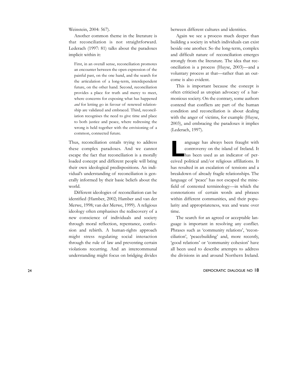Weinstein, 2004: 567).

Another common theme in the literature is that reconciliation is not straightforward. Lederach (1997: 81) talks about the paradoxes implicit within it:

First, in an overall sense, reconciliation promotes an encounter between the open expression of the painful past, on the one hand, and the search for the articulation of a long-term, interdependent future, on the other hand. Second, reconciliation provides a place for truth and mercy to meet, where concerns for exposing what has happened *and* for letting go in favour of renewed relationship are validated and embraced. Third, reconciliation recognises the need to give time and place to both justice and peace, where redressing the wrong is held together with the envisioning of a common, connected future.

Thus, reconciliation entails trying to address these complex paradoxes. And we cannot escape the fact that reconciliation is a morally loaded concept and different people will bring their own ideological predispositions. An individual's understanding of reconciliation is generally informed by their basic beliefs about the world.

Different ideologies of reconciliation can be identified (Hamber, 2002; Hamber and van der Merwe, 1998; van der Merwe, 1999). A religious ideology often emphasises the rediscovery of a new conscience of individuals and society through moral reflection, repentance, confession and rebirth. A human-rights approach might stress regulating social interaction through the rule of law and preventing certain violations recurring. And an intercommunal understanding might focus on bridging divides

between different cultures and identities.

Again we see a process much deeper than building a society in which individuals can exist beside one another. So the long-term, complex and difficult nature of reconciliation emerges strongly from the literature. The idea that reconciliation is a process (Huyse, 2003)—and a voluntary process at that—rather than an outcome is also evident.

This is important because the concept is often criticised as utopian advocacy of a harmonious society. On the contrary, some authors contend that conflicts are part of the human condition and reconciliation is about dealing with the anger of victims, for example (Huyse, 2003), and embracing the paradoxes it implies (Lederach, 1997).

anguage has always been fraught with<br>
controversy on the island of Ireland. It<br>
has been used as an indicator of percontroversy on the island of Ireland. It ceived political and/or religious affiliations. It has resulted in an escalation of tensions and a breakdown of already fragile relationships. The language of 'peace' has not escaped the minefield of contested terminology—in which the connotations of certain words and phrases within different communities, and their popularity and appropriateness, wax and wane over time.

The search for an agreed or acceptable language is important in resolving any conflict. Phrases such as 'community relations', 'reconciliation', 'peacebuilding' and, more recently, 'good relations' or 'community cohesion' have all been used to describe attempts to address the divisions in and around Northern Ireland.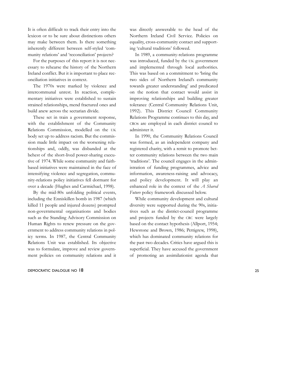It is often difficult to track their entry into the lexicon or to be sure about distinctions others may make between them. Is there something inherently different between self-styled 'community relations' and 'reconciliation' projects?

For the purposes of this report it is not necessary to rehearse the history of the Northern Ireland conflict. But it is important to place reconciliation initiatives in context.

The 1970s were marked by violence and intercommunal unrest. In reaction, complementary initiatives were established to sustain strained relationships, mend fractured ones and build anew across the sectarian divide.

These set in train a government response, with the establishment of the Community Relations Commission, modelled on the UK body set up to address racism. But the commission made little impact on the worsening relationships and, oddly, was disbanded at the behest of the short-lived power-sharing executive of 1974. While some community and faithbased initiatives were maintained in the face of intensifying violence and segregation, community-relations policy initiatives fell dormant for over a decade (Hughes and Carmichael, 1998).

By the mid-80s unfolding political events, including the Enniskillen bomb in 1987 (which killed 11 people and injured dozens) prompted non-governmental organisations and bodies such as the Standing Advisory Commission on Human Rights to renew pressure on the government to address community relations in policy terms. In 1987, the Central Community Relations Unit was established. Its objective was to formulate, improve and review government policies on community relations and it

### DEMOCRATIC DIALOGUE NO 18 25

was directly answerable to the head of the Northern Ireland Civil Service. Policies on equality, cross-community contact and supporting 'cultural traditions' followed.

In 1989, a community-relations programme was introduced, funded by the UK government and implemented through local authorities. This was based on a commitment to 'bring the two sides of Northern Ireland's community towards greater understanding' and predicated on the notion that contact would assist in improving relationships and building greater tolerance (Central Community Relations Unit, 1992). This District Council Community Relations Programme continues to this day, and CROs are employed in each district council to administer it.

In 1990, the Community Relations Council was formed, as an independent company and registered charity, with a remit to promote better community relations between the two main 'traditions'. The council engages in the administration of funding programmes, advice and information, awareness-raising and advocacy, and policy development. It will play an enhanced role in the context of the *A Shared Future* policy framework discussed below.

While community development and cultural diversity were supported during the 90s, initiatives such as the district-council programme and projects funded by the CRC were largely based on the contact hypothesis (Allport, 1954; Hewstone and Brown, 1986; Pettigrew, 1998), which has dominated community relations for the past two decades. Critics have argued this is superficial. They have accused the government of promoting an assimilationist agenda that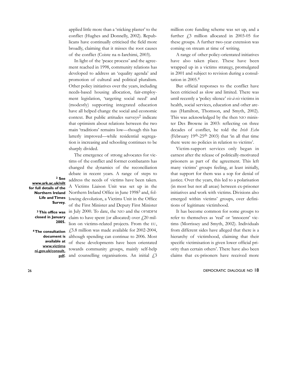applied little more than a 'sticking plaster' to the conflict (Hughes and Donnelly, 2002). Republicans have continually criticised the field more broadly, claiming that it misses the root causes of the conflict (Coiste na n-Iarchimi, 2003).

In light of the 'peace process' and the agreement reached in 1998, community relations has developed to address an 'equality agenda' and promotion of cultural and political pluralism. Other policy initiatives over the years, including needs-based housing allocation, fair-employment legislation, 'targeting social need' and (modestly) supporting integrated education have all helped change the social and economic context. But public attitudes surveys<sup>2</sup> indicate that optimism about relations between the two main 'traditions' remains low—though this has latterly improved—while residential segregation is increasing and schooling continues to be sharply divided.

The emergence of strong advocates for victims of the conflict and former combatants has changed the dynamics of the reconciliation debate in recent years. A range of steps to address the needs of victims have been taken. A Victims Liaison Unit was set up in the Northern Ireland Office in June 1998<sup>3</sup> and, following devolution, a Victims Unit in the Office of the First Minister and Deputy First Minister in July 2000. To date, the NIO and the OFMDFM claim to have spent (or allocated) over  $\frac{f}{f}$  20 million on victims-related projects. From the EU,

 $£5.8$  million was made available for 2002-2004, although spending can continue to 2006. Most of these developments have been orientated towards community groups, mainly self-help pdf. and counselling organisations. An initial  $\text{\textsterling}3$ 

million core funding scheme was set up, and a further  $\dot{\ell}$ , million allocated in 2003-05 for these groups. A further two-year extension was coming on stream at time of writing.

A range of other policy-orientated initiatives have also taken place. These have been wrapped up in a victims strategy, promulgated in 2001 and subject to revision during a consultation in 2005.4

But official responses to the conflict have been criticised as slow and limited. There was until recently a 'policy silence' *vis-à-vis* victims in health, social services, education and other arenas (Hamilton, Thomson, and Smyth, 2002). This was acknowledged by the then NIO minister Des Browne in 2003: reflecting on three decades of conflict, he told the *Irish Echo* (February  $19<sup>th</sup> - 25<sup>th</sup> 2003$ ) that 'in all that time there were no policies in relation to victims'.

Victim-support services only began in earnest after the release of politically-motivated prisoners as part of the agreement. This left many victims' groups feeling, at least initially, that support for them was a sop for denial of justice. Over the years, this led to a polarisation (in most but not all areas) between ex-prisoner initiatives and work with victims. Divisions also emerged within victims' groups, over definitions of legitimate victimhood.

It has become common for some groups to refer to themselves as 'real' or 'innocent' victims (Morrissey and Smyth, 2002). Individuals from different sides have alleged that there is a hierarchy of victimhood, claiming that their specific victimisation is given lower official priority than certain others'. There have also been claims that ex-prisoners have received more

26 DEMOCRATIC DIALOGUE NO 18

**2 See www.ark.ac.uk/nilt for full details of the Northern Ireland Life and Times Survey.**

> **3 This office was closed in January 2005.**

**4 The consultation document is available at www.victims ni.gov.uk/consult.**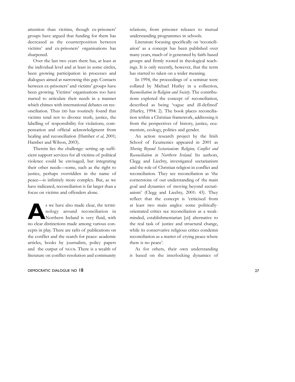attention than victims, though ex-prisoners' groups have argued that funding for them has decreased as the counterposition between victims' and ex-prisoners' organisations has sharpened.

Over the last two years there has, at least at the individual level and at least in some circles, been growing participation in processes and dialogues aimed at narrowing this gap. Contacts between ex-prisoners' and victims' groups have been growing. Victims' organisations too have started to articulate their needs in a manner which chimes with international debates on reconciliation. Thus DD has routinely found that victims tend not to divorce truth, justice, the labelling of responsibility for violations, compensation and official acknowledgment from healing and reconciliation (Hamber *et al*, 2001; Hamber and Wilson, 2003).

Therein lies the challenge: setting up sufficient support services for all victims of political violence could be envisaged, but integrating their other needs—some, such as the right to justice, perhaps overridden in the name of peace—is infinitely more complex. But, as we have indicated, reconciliation is far larger than a focus on victims and offenders alone.

s we have also made clear, the termi-<br>
nology around reconciliation in<br>
Northern Ireland is very fluid, with nology around reconciliation in no clear distinctions made among various concepts in play. There are rafts of publications on the conflict and the search for peace: academic articles, books by journalists, policy papers and the output of NGOs. There is a wealth of literature on conflict resolution and community

#### DEMOCRATIC DIALOGUE NO 18 27

relations, from prisoner releases to mutual understanding programmes in schools.

Literature focusing specifically on 'reconciliation' as a concept has been published over many years, much of it generated by faith-based groups and firmly rooted in theological teachings. It is only recently, however, that the term has started to taken on a wider meaning.

In 1994, the proceedings of a seminar were collated by Michael Hurley in a collection, *Reconciliation in Religion and Society*. The contributions explored the concept of reconciliation, described as being 'vague and ill-defined' (Hurley, 1994: 2). The book places reconciliation within a Christian framework, addressing it from the perspectives of history, justice, ecumenism, ecology, politics and gender.

An action research project by the Irish School of Ecumenics appeared in 2001 as *Moving Beyond Sectarianism*: *Religion, Conflict and Reconciliation in Northern Ireland*. Its authors, Clegg and Liechty, investigated sectarianism and the role of Christian religion in conflict and reconciliation. They see reconciliation as 'the cornerstone of our understanding of the main goal and dynamics of moving beyond sectarianism' (Clegg and Liechty, 2001: 43). They reflect that the concept is 'criticised from at least two main angles: some politicallyorientated critics see reconciliation as a weakminded, establishmentarian [*sic*] alternative to the real task of justice and structural change, while its conservative religious critics condemn reconciliation as a matter of crying peace where there is no peace'.

As for others, their own understanding is based on the interlocking dynamics of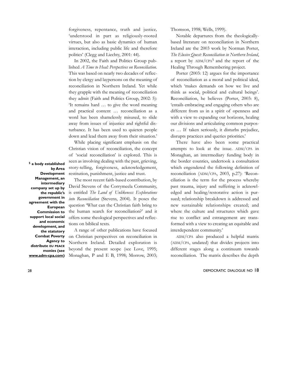forgiveness, repentance, truth and justice*,* 'understood in part as religiously-rooted virtues, but also as basic dynamics of human interaction, including public life and therefore politics' (Clegg and Liechty, 2001: 44).

In 2002, the Faith and Politics Group published *A Time to Heal: Perspectives on Reconciliation*. This was based on nearly two decades of reflection by clergy and laypersons on the meaning of reconciliation in Northern Ireland. Yet while they grapple with the meaning of reconciliation they admit (Faith and Politics Group, 2002: 5): 'It remains hard … to give the word meaning and practical content … reconciliation as a word has been shamelessly misused, to slide away from issues of injustice and rightful disturbance. It has been used to quieten people down and lead them away from their situation.'

While placing significant emphasis on the Christian vision of reconciliation, the concept of 'social reconciliation' is explored. This is seen as involving dealing with the past, grieving, story-telling, forgiveness, acknowledgement, restitution, punishment, justice and trust.

**Development Management, an intermediary company set up by the republic's government in agreement with the European Commission to support local social and economic development, and the statutory Combat Poverty Agency to distribute EU PEACE monies (see www.adm-cpa.com)** 

**5 a body established**

**by Area**

The most recent faith-based contribution, by David Stevens of the Corrymeela Community, is entitled *The Land of Unlikeness: Explorations into Reconciliation* (Stevens, 2004). It poses the question 'What can the Christian faith bring to the human search for reconciliation?' and it offers some theological perspectives and reflections on biblical texts.

A range of other publications have focused on Christian perspectives on reconciliation in Northern Ireland. Detailed exploration is beyond the present scope (see Love, 1995; Monaghan, P and E B, 1998; Morrow, 2003; Thomson, 1998; Wells, 1999).

Notable departures from the theologicallybased literature on reconciliation in Northern Ireland are the 2003 work by Norman Porter, *The Elusive Quest: Reconciliation in Northern Ireland*, a report by  $\text{ADM}/\text{CPA}^5$  and the report of the Healing Through Remembering project.

Porter (2003: 12) argues for the importance of reconciliation as a moral and political ideal, which 'makes demands on how we live and think as social, political and cultural beings'. Reconciliation, he believes (Porter, 2003: 8), 'entails embracing and engaging others who are different from us in a spirit of openness and with a view to expanding our horizons, healing our divisions and articulating common purposes … If taken seriously, it disturbs prejudice, disrupts practices and queries priorities.'

There have also been some practical attempts to look at the issue. ADM/CPA in Monaghan, an intermediary funding body in the border counties, undertook a consultation which engendered the following definition of reconciliation (ADM/CPA, 2003, p.27): 'Reconciliation is the term for the process whereby past trauma, injury and suffering is acknowledged and healing/restorative action is pursued; relationship breakdown is addressed and new sustainable relationships created; and where the culture and structures which gave rise to conflict and estrangement are transformed with a view to creating an equitable and interdependent community.'

ADM/CPA also produced a helpful matrix (ADM/CPA, undated) that divides projects into different stages along a continuum towards reconciliation. The matrix describes the depth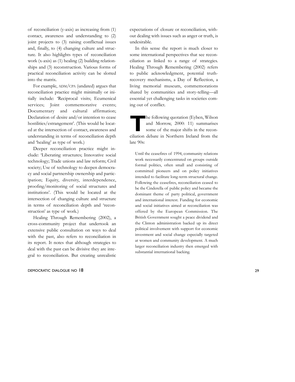of reconciliation (y-axis) as increasing from (1) contact, awareness and understanding to (2) joint projects to (3) raising conflictual issues and, finally, to (4) changing culture and structure. It also highlights types of reconciliation work (x-axis) as (1) healing (2) building relationships and (3) reconstruction. Various forms of practical reconciliation activity can be slotted into the matrix.

For example, ADM/CPA (undated) argues that reconciliation practice might minimally or initially include: 'Reciprocal visits; Ecumenical services; Joint commemorative events; Documentary and cultural affirmation; Declaration of desire and/or intention to cease hostilities/estrangement'. (This would be located at the intersection of contact, awareness and understanding in terms of reconciliation depth and 'healing' as type of work.)

Deeper reconciliation practice might include: 'Liberating structures; Innovative social technology; Trade unions and law reform; Civil society; Use of technology to deepen democracy and social partnership ownership and participation; Equity, diversity, interdependence, proofing/monitoring of social structures and institutions'. (This would be located at the intersection of changing culture and structure in terms of reconciliation depth and 'reconstruction' as type of work.)

Healing Through Remembering (2002), a cross-community project that undertook an extensive public consultation on ways to deal with the past, also refers to reconciliation in its report. It notes that although strategies to deal with the past can be divisive they are integral to reconciliation. But creating unrealistic

### DEMOCRATIC DIALOGUE NO 18 29

expectations of closure or reconciliation, without dealing with issues such as anger or truth, is undesirable.

In this sense the report is much closer to some international perspectives that see reconciliation as linked to a range of strategies. Healing Through Remembering (2002) refers to public acknowledgment, potential truthrecovery mechanisms, a Day of Reflection, a living memorial museum, commemorations shared by communities and story-telling—all essential yet challenging tasks in societies coming out of conflict.

**The following quotation (Eyben, Wilson and Morrow, 2000: 11) summarises some of the major shifts in the recon**and Morrow, 2000: 11) summarises some of the major shifts in the reconciliation debate in Northern Ireland from the late 90s:

Until the ceasefires of 1994, community relations work necessarily concentrated on groups outside formal politics, often small and consisting of committed pioneers and on policy initiatives intended to facilitate long-term structural change. Following the ceasefires, reconciliation ceased to be the Cinderella of public policy and became the dominant theme of party political, government and international interest. Funding for economic and social initiatives aimed at reconciliation was offered by the European Commission. The British Government sought a peace dividend and the Clinton administration backed up its direct political involvement with support for economic investment and social change especially targeted at women and community development. A much larger reconciliation industry then emerged with substantial international backing.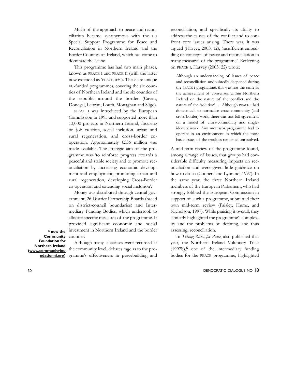Much of the approach to peace and reconciliation became synonymous with the EU Special Support Programme for Peace and Reconciliation in Northern Ireland and the Border Counties of Ireland, which has come to dominate the scene.

This programme has had two main phases, known as PEACE I and PEACE II (with the latter now extended as 'PEACE II+'). These are unique EU-funded programmes, covering the six counties of Northern Ireland and the six counties of the republic around the border (Cavan, Donegal, Leitrim, Louth, Monaghan and Sligo).

PEACE I was introduced by the European Commission in 1995 and supported more than 13,000 projects in Northern Ireland, focusing on job creation, social inclusion, urban and rural regeneration, and cross-border cooperation. Approximately €536 million was made available. The strategic aim of the programme was 'to reinforce progress towards a peaceful and stable society and to promote reconciliation by increasing economic development and employment, promoting urban and rural regeneration, developing Cross-Border co-operation and extending social inclusion'.

Money was distributed through central government, 26 District Partnership Boards (based on district-council boundaries) and Intermediary Funding Bodies, which undertook to allocate specific measures of the programme. It provided significant economic and social investment in Northern Ireland and the border counties.

**6 now the Community Foundation for Northern Ireland (www.communityfou ndationni.org)** 

Although many successes were recorded at the community level, debates rage as to the programme's effectiveness in peacebuilding and

reconciliation, and specifically its ability to address the causes of the conflict and to confront core issues arising. There was, it was argued (Harvey, 2003: 12), 'insufficient embedding of concepts of peace and reconciliation in many measures of the programme'. Reflecting on PEACE I, Harvey (2003: 22) wrote:

Although an understanding of issues of peace and reconciliation undoubtedly deepened during the PEACE I programme, this was not the same as the achievement of consensus within Northern Ireland on the nature of the conflict and the nature of the 'solution' … Although PEACE I had done much to normalise cross-community (and cross-border) work, there was not full agreement on a model of cross-community and singleidentity work. Any successor programme had to operate in an environment in which the most basic issues of the troubles remained unresolved.

A mid-term review of the programme found, among a range of issues, that groups had considerable difficulty measuring impacts on reconciliation and were given little guidance on how to do so (Coopers and Lybrand, 1997). In the same year, the three Northern Ireland members of the European Parliament, who had strongly lobbied the European Commission in support of such a programme, submitted their own mid-term review (Paisley, Hume, and Nicholson, 1997). While praising it overall, they similarly highlighted the programme's complexity and the problems of defining, and thus assessing, reconciliation.

In *Taking Risks for Peace*, also published that year, the Northern Ireland Voluntary Trust  $(1997b)$ , one of the intermediary funding bodies for the PEACE programme, highlighted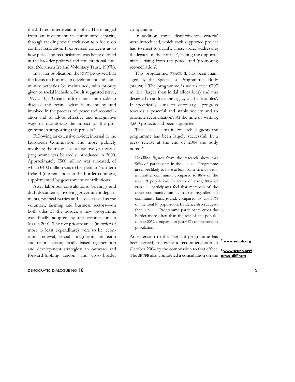the different interpretations of it. These ranged from an investment in community capacity, through tackling social exclusion to a focus on conflict resolution. It expressed concerns as to how peace and reconciliation was being defined in the broader political and constitutional context (Northern Ireland Voluntary Trust, 1997b).

In a later publication, the NIVT proposed that the focus on bottom-up development and community activities be maintained, with priority given to social inclusion. But it suggested (NIVT, 1997a: 10): 'Greater efforts must be made to discuss and refine what is meant by and involved in the process of peace and reconciliation and to adopt effective and imaginative ways of monitoring the impact of the programme in supporting this process.'

Following an extensive review, internal to the European Commission and more publicly involving the many IFBs, a new five-year PEACE programme was belatedly introduced in 2000. Approximately €500 million was allocated, of which €400 million was to be spent in Northern Ireland (the remainder in the border counties), supplemented by government contributions.

After laborious consultations, briefings and draft documents, involving government departments, political parties and IFBs—as well as the voluntary, farming and business sectors—on both sides of the border, a new programme was finally adopted by the commission in March 2001. The five priority areas (in order of most to least expenditure) were to be: economic renewal; social integration, inclusion and reconciliation; locally based regeneration and development strategies; an outward and forward-looking region; and cross-border

### DEMOCRATIC DIALOGUE NO 18 31

co-operation.

In addition, three 'distinctiveness criteria' were introduced, which each supported project had to meet to qualify. These were: 'addressing the legacy of the conflict', 'taking the opportunities arising from the peace' and 'promoting reconciliation'.

This programme, PEACE II, has been managed by the Special EU Programmes Body (SEUPB).<sup>7</sup> The programme is worth over  $\epsilon$ 707 million (larger than initial allocations) and was designed to address the legacy of the 'troubles'. It specifically aims to encourage 'progress towards a peaceful and stable society and to promote reconciliation'. At the time of writing, 4,600 projects had been supported.

The SEUPB claims its research suggests the programme has been largely successful. In a press release at the end of 2004 the body noted:8

Headline figures from the research show that 96% of participants in the PEACE II Programme are more likely to have at least some friends within another community compared to 86% of the total NI population. In terms of trust, 80% of PEACE II participants feel that members of the other community can be trusted regardless of community background, compared to just 56% of the total NI population. Evidence also suggests that PEACE II Programme participants cross the border more often than the rest of the population at 88% compared to just 61% of the total NI population.

An extension to the PEACE II programme has been agreed, following a recommendation in October 2004 by the commission to that effect. **8 www.seupb.org/** The SEUPB also completed a consultation on the **news\_diff.htm**

### **7 www.seupb.org**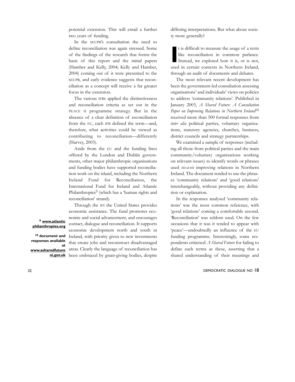potential extension. This will entail a further two years of funding.

In the SEUPB's consultation the need to define reconciliation was again stressed. Some of the findings of the research that forms the basis of this report and the initial papers (Hamber and Kelly, 2004; Kelly and Hamber, 2004) coming out of it were presented to the SEUPB, and early evidence suggests that reconciliation as a concept will receive a far greater focus in the extension.

The various IFBs applied the distinctiveness and reconciliation criteria as set out in the PEACE II programme strategy. But in the absence of a clear definition of reconciliation from the EU, each IFB defined the term—and, therefore, what activities could be viewed as contributing to reconciliation—differently (Harvey, 2003).

Aside from the EU and the funding lines offered by the London and Dublin governments, other major philanthropic organisations and funding bodies have supported reconciliation work on the island, including the Northern Ireland Fund for Reconciliation, the International Fund for Ireland and Atlantic Philanthropies<sup>9</sup> (which has a 'human rights and reconciliation' strand).

Through the IFI the United States provides economic assistance. The fund promotes economic and social advancement, and encourages contact, dialogue and reconciliation. It supports economic development north and south in Ireland, with priority given to new investments that create jobs and reconstruct disadvantaged areas. Clearly the language of reconciliation has **ni.gov.uk** been embraced by grant-giving bodies, despite

differing interpretations. But what about society more generally?

**I** t is difficult to measure the usage of a term like reconciliation in common parlance. Instead, we explored how it is, or is not, used in certain contexts in Northern Ireland, through an audit of documents and debates.

The most relevant recent development has been the government-led consultation assessing organisations' and individuals' views on policies to address 'community relations'. Published in January 2003, *A Shared Future: A Consultation Paper on Improving Relations in Northern Ireland*10 received more than 500 formal responses from *inter alia* political parties, voluntary organisations, statutory agencies, churches, business, district councils and strategy partnerships.

We examined a sample of responses (including all those from political parties and the main community/voluntary organisations working on relevant issues) to identify words or phrases used *vis-à-vis* improving relations in Northern Ireland. The document tended to use the phrases 'community relations' and 'good relations' interchangeably, without providing any definition or explanation.

In the responses analysed 'community relations' was the most common reference, with 'good relations' coming a comfortable second. 'Reconciliation' was seldom used. On the few occasions that it was it tended to appear with 'peace'—undoubtedly an influence of the EU funding programme. Interestingly, some respondents criticised *A Shared Future* for failing to define such terms as these, asserting that a shared understanding of their meanings and

32 DEMOCRATIC DIALOGUE NO 18

### **9 www.atlantic philanthropies.org**

**10 document and responses available at www.asharedfuture**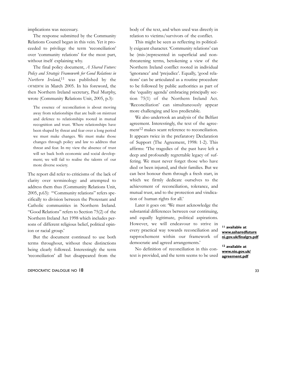implications was necessary.

The response submitted by the Community Relations Council began in this vein. Yet it proceeded to privilege the term 'reconciliation' over 'community relations' for the most part, without itself explaining why.

The final policy document, *A Shared Future: Policy and Strategic Framework for Good Relations in Northern Ireland*, 11 was published by the OFMDFM in March 2005. In his foreword, the then Northern Ireland secretary, Paul Murphy, wrote (Community Relations Unit, 2005, p.3):

The essence of reconciliation is about moving away from relationships that are built on mistrust and defence to relationships rooted in mutual recognition and trust. Where relationships have been shaped by threat and fear over a long period we must make changes. We must make those changes through policy and law to address that threat and fear. In my view the absence of trust will set back both economic and social development; we will fail to realise the talents of our more diverse society.

The report did refer to criticisms of the lack of clarity over terminology and attempted to address them thus (Community Relations Unit, 2005, p.63): '"Community relations" refers specifically to division between the Protestant and Catholic communities in Northern Ireland. "Good Relations" refers to Section 75(2) of the Northern Ireland Act 1998 which includes persons of different religious belief, political opinion or racial group.'

But the document continued to use both terms throughout, without these distinctions being clearly followed. Interestingly the term 'reconciliation' all but disappeared from the

### DEMOCRATIC DIALOGUE NO 18 33

body of the text, and when used was directly in relation to victims/survivors of the conflict.

This might be seen as reflecting its politically exigeant character. 'Community relations' can be (mis-)represented in superficial and nonthreatening terms, betokening a view of the Northern Ireland conflict rooted in individual 'ignorance' and 'prejudice'. Equally, 'good relations' can be articulated as a routine procedure to be followed by public authorities as part of the 'equality agenda' embracing principally section 75(1) of the Northern Ireland Act. 'Reconciliation' can simultaneously appear more challenging and less predictable.

We also undertook an analysis of the Belfast agreement. Interestingly, the text of the agreement<sup>12</sup> makes scant reference to reconciliation. It appears twice in the prefaratory Declaration of Support (The Agreement, 1998: 1-2). This affirms: 'The tragedies of the past have left a deep and profoundly regrettable legacy of suffering. We must never forget those who have died or been injured, and their families. But we can best honour them through a fresh start, in which we firmly dedicate ourselves to the achievement of reconciliation, tolerance, and mutual trust, and to the protection and vindication of human rights for all.'

Later it goes on: 'We must acknowledge the substantial differences between our continuing, and equally legitimate, political aspirations. However, we will endeavour to strive in every practical way towards reconciliation and rapprochement within our framework of democratic and agreed arrangements.'

No definition of reconciliation in this context is provided, and the term seems to be used

**11 available at www.asharedfuture ni.gov.uk/finalgrs.pdf**

**12 available at www.nio.gov.uk/ agreement.pdf**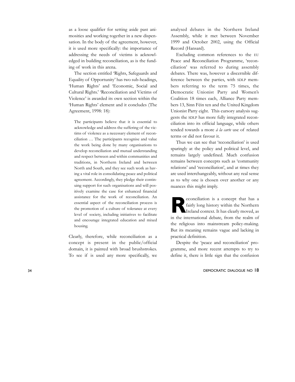as a loose qualifier for setting aside past animosities and working together in a new dispensation. In the body of the agreement, however, it is used more specifically: the importance of addressing the needs of victims is acknowledged in building reconciliation, as is the funding of work in this arena.

The section entitled 'Rights, Safeguards and Equality of Opportunity' has two sub-headings, 'Human Rights' and 'Economic, Social and Cultural Rights.' 'Reconciliation and Victims of Violence' is awarded its own section within the 'Human Rights' element and it concludes (The Agreement, 1998: 18):

The participants believe that it is essential to acknowledge and address the suffering of the victims of violence as a necessary element of reconciliation … The participants recognise and value the work being done by many organisations to develop reconciliation and mutual understanding and respect between and within communities and traditions, in Northern Ireland and between North and South, and they see such work as having a vital role in consolidating peace and political agreement. Accordingly, they pledge their continuing support for such organisations and will positively examine the case for enhanced financial assistance for the work of reconciliation. An essential aspect of the reconciliation process is the promotion of a culture of tolerance at every level of society, including initiatives to facilitate and encourage integrated education and mixed housing.

Clearly, therefore, while reconciliation as a concept is present in the public/official domain, it is painted with broad brushstrokes. To see if is used any more specifically, we

analysed debates in the Northern Ireland Assembly, while it met between November 1999 and October 2002, using the Official Record (Hansard).

Excluding common references to the EU Peace and Reconciliation Programme, 'reconciliation' was referred to during assembly debates. There was, however a discernible difference between the parties, with SDLP members referring to the term 75 times, the Democratic Unionist Party and Women's Coalition 18 times each, Alliance Party members 13, Sinn Féin ten and the United Kingdom Unionist Party eight. This cursory analysis suggests the SDLP has more fully integrated reconciliation into its official language, while others tended towards a more *à la carte* use of related terms or did not favour it.

Thus we can see that 'reconciliation' is used sparingly at the policy and political level, and remains largely undefined. Much confusion remains between concepts such as 'community relations' and 'reconciliation', and at times they are used interchangeably, without any real sense as to why one is chosen over another or any nuances this might imply.

**R**econciliation is a concept that has a fairly long history within the Northern Ireland context. It has clearly moved, as in the international debate, from the realm of the religious into mainstream policy-making. But its meaning remains vague and lacking in practical definition.

Despite the 'peace and reconciliation' programme, and more recent attempts to try to define it, there is little sign that the confusion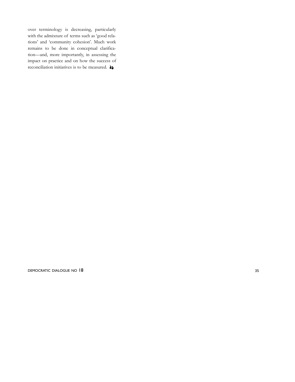over terminology is decreasing, particularly with the admixture of terms such as 'good relations' and 'community cohesion'. Much work remains to be done in conceptual clarification—and, more importantly, in assessing the impact on practice and on how the success of reconciliation initiatives is to be measured.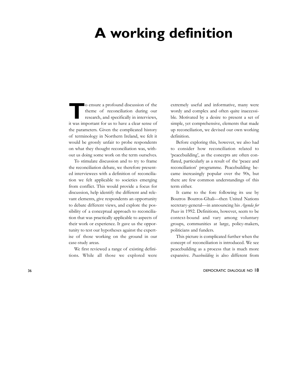## **A working definition**

**T**o ensure a profound discussion of the<br>theme of reconciliation during our<br>research, and specifically in interviews, theme of reconciliation during our research, and specifically in interviews, it was important for us to have a clear sense of the parameters. Given the complicated history of terminology in Northern Ireland, we felt it would be grossly unfair to probe respondents on what they thought reconciliation was, without us doing some work on the term ourselves.

To stimulate discussion and to try to frame the reconciliation debate, we therefore presented interviewees with a definition of reconciliation we felt applicable to societies emerging from conflict. This would provide a focus for discussion, help identify the different and relevant elements, give respondents an opportunity to debate different views, and explore the possibility of a conceptual approach to reconciliation that was practically applicable to aspects of their work or experience. It gave us the opportunity to test our hypotheses against the expertise of those working on the ground in our case-study areas.

We first reviewed a range of existing definitions. While all those we explored were

extremely useful and informative, many were wordy and complex and often quite inaccessible. Motivated by a desire to present a set of simple, yet comprehensive, elements that made up reconciliation, we devised our own working definition.

Before exploring this, however, we also had to consider how reconciliation related to 'peacebuilding', as the concepts are often conflated, particularly as a result of the 'peace and reconciliation' programme. Peacebuilding became increasingly popular over the 90s, but there are few common understandings of this term either.

It came to the fore following its use by Boutros Boutros-Ghali—then United Nations secretary-general—in announcing his *Agenda for Peace* in 1992. Definitions, however, seem to be context-bound and vary among voluntary groups, communities at large, policy-makers, politicians and funders.

This picture is complicated further when the concept of reconciliation is introduced. We see peacebuilding as a process that is much more expansive. *Peacebuilding* is also different from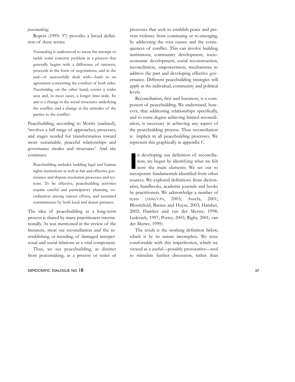### *peacemaking* .

Ropers (1995: 37) provides a broad definition of these terms:

*Peacemaking* is understood to mean the attempt to tackle some concrete problem in a process that generally begins with a difference of interests, proceeds in the form of negotiations, and in the end—if successfully dealt with—leads to an agreement concerning the conduct of both sides. *Peacebuilding*, on the other hand, covers a wider area and, in most cases, a longer time-scale. Its aim is a change in the social structures underlying the conflict, and a change in the attitudes of the parties to the conflict.

Peacebuilding, according to Morris (undated), 'involves a full range of approaches, processes, and stages needed for transformation toward more sustainable, peaceful relationships and governance modes and structures'. And she continues:

Peacebuilding includes building legal and human rights institutions as well as fair and effective governance and dispute resolution processes and systems. To be effective, peacebuilding activities require careful and participatory planning, coordination among various efforts, and sustained commitments by both local and donor partners.

The idea of peacebuilding as a long-term process is shared by many practitioners internationally. As was mentioned in the review of the literature, most see reconciliation and the reestablishing or mending of damaged interpersonal and social relations as a vital component.

Thus, we see peacebuilding, as distinct from peacemaking, as a process or series of

### DEMOCRATIC DIALOGUE NO 18 37

processes that seek to establish peace and prevent violence from continuing or re-emerging, by addressing the root causes and the consequences of conflict. This can involve building institutions, community development, socioeconomic development, social reconstruction, reconciliation, empowerment, mechanisms to address the past and developing effective governance. Different peacebuilding strategies will apply at the individual, community and political levels.

Reconciliation, first and foremost, is a component of peacebuilding. We understand, however, that addressing relationships specifically, and to some degree achieving limited reconciliation, is necessary in achieving any aspect of the peacebuilding process. Thus reconciliation is implicit in all peacebuilding processes. We represent this graphically in appendix C.

In developing our definition of reconciliation, we began by identifying what we felt were the main elements. We set out to incorporate fundamentals identified from other n developing our definition of reconciliation, we began by identifying what we felt were the main elements. We set out to sources. We explored definitions from dictionaries, handbooks, academic journals and books by practitioners. We acknowledge a number of texts (ADM /CPA, 2003; Assefa, 2001; Bloomfield, Barnes and Huyse, 2003; Hamber, 2002; Hamber and van der Merwe, 1998; Lederach, 1997; Porter, 2003; Rigby, 2001; van der Merwe, 1999).

The result is the working definition below, which is by its nature incomplete. We were comfortable with this imperfection, which we viewed as a useful—possibly provocative—tool to stimulate further discussion, rather than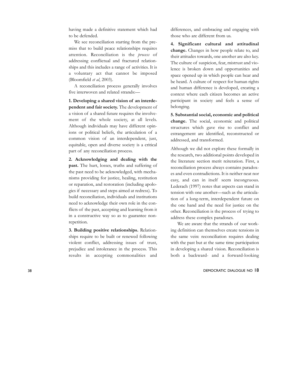having made a definitive statement which had to be defended.

We see reconciliation starting from the premiss that to build peace relationships requires attention. Reconciliation is the *process* of addressing conflictual and fractured relationships and this includes a range of activities. It is a voluntary act that cannot be imposed (Bloomfield *et al*, 2003).

A reconciliation process generally involves five interwoven and related strands:—

**1. Developing a shared vision of an interdependent and fair society.** The development of a vision of a shared future requires the involvement of the whole society, at all levels. Although individuals may have different opinions or political beliefs, the articulation of a common vision of an interdependent, just, equitable, open and diverse society is a critical part of any reconciliation process.

**2. Acknowledging and dealing with the past.** The hurt, losses, truths and suffering of the past need to be acknowledged, with mechanisms providing for justice, healing, restitution or reparation, and restoration (including apologies if necessary and steps aimed at redress). To build reconciliation, individuals and institutions need to acknowledge their own role in the conflicts of the past, accepting and learning from it in a constructive way so as to guarantee nonrepetition.

**3. Building positive relationships.** Relationships require to be built or renewed following violent conflict, addressing issues of trust, prejudice and intolerance in the process. This results in accepting commonalities and differences, and embracing and engaging with those who are different from us.

**4. Significant cultural and attitudinal change.** Changes in how people relate to, and their attitudes towards, one another are also key. The culture of suspicion, fear, mistrust and violence is broken down and opportunities and space opened up in which people can hear and be heard. A culture of respect for human rights and human difference is developed, creating a context where each citizen becomes an active participant in society and feels a sense of belonging.

**5. Substantial social, economic and political change.** The social, economic and political structures which gave rise to conflict and estrangement are identified, reconstructed or addressed, and transformed.

Although we did not explore these formally in the research, two additional points developed in the literature section merit reiteration. First, a reconciliation process always contains paradoxes and even contradictions. It is neither neat nor easy, and can in itself seem incongruous. Lederach (1997) notes that aspects can stand in tension with one another—such as the articulation of a long-term, interdependent future on the one hand and the need for justice on the other. Reconciliation is the process of trying to address these complex paradoxes.

We are aware that the strands of our working definition can themselves create tensions in the same vein: reconciliation requires dealing with the past but at the same time participation in developing a shared vision. Reconciliation is both a backward- and a forward-looking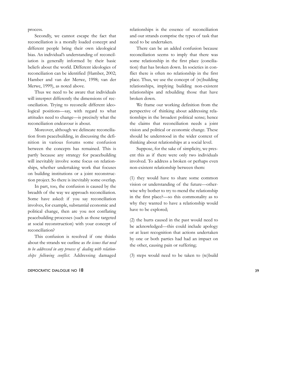process.

Secondly, we cannot escape the fact that reconciliation is a morally loaded concept and different people bring their own ideological bias. An individual's understanding of reconciliation is generally informed by their basic beliefs about the world. Different ideologies of reconciliation can be identified (Hamber, 2002; Hamber and van der Merwe, 1998; van der Merwe, 1999), as noted above.

Thus we need to be aware that individuals will interpret differently the dimensions of reconciliation. Trying to reconcile different ideological positions—say, with regard to what attitudes need to change—is precisely what the reconciliation endeavour is about.

Moreover, although we delineate reconciliation from peacebuilding, in discussing the definition in various forums some confusion between the concepts has remained. This is partly because any strategy for peacebuilding will inevitably involve some focus on relationships, whether undertaking work that focuses on building institutions or a joint reconstruction project. So there is inevitably some overlap.

In part, too, the confusion is caused by the breadth of the way we approach reconciliation. Some have asked: if you say reconciliation involves, for example, substantial economic and political change, then are you not conflating peacebuilding processes (such as those targeted at social reconstruction) with your concept of reconciliation?

This confusion is resolved if one thinks about the strands we outline as *the issues that need to be addressed in any process of dealing with relationships following conflict*. Addressing damaged

DEMOCRATIC DIALOGUE NO 18 39

relationships is the essence of reconciliation and our strands comprise the types of task that need to be undertaken.

There can be an added confusion because reconciliation seems to imply that there was some relationship in the first place (conciliation) that has broken down. In societies in conflict there is often no relationship in the first place. Thus, we use the concept of (re)building relationships, implying building non-existent relationships and rebuilding those that have broken down.

We frame our working definition from the perspective of thinking about addressing relationships in the broadest political sense; hence the claims that reconciliation needs a joint vision and political or economic change. These should be understood in the wider context of thinking about relationships at a social level.

Suppose, for the sake of simplicity, we present this as if there were only two individuals involved. To address a broken or perhaps even non-existent relationship between them:

(1) they would have to share some common vision or understanding of the future—otherwise why bother to try to mend the relationship in the first place?—so this commonality as to why they wanted to have a relationship would have to be explored;

(2) the hurts caused in the past would need to be acknowledged—this could include apology or at least recognition that actions undertaken by one or both parties had had an impact on the other, causing pain or suffering;

(3) steps would need to be taken to (re)build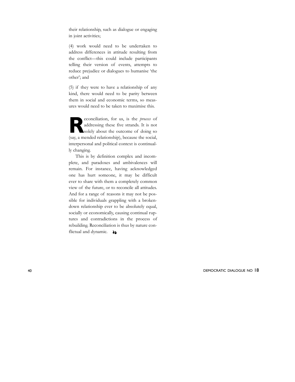their relationship, such as dialogue or engaging in joint activities;

(4) work would need to be undertaken to address differences in attitude resulting from the conflict—this could include participants telling their version of events, attempts to reduce prejudice or dialogues to humanise 'the other'; and

(5) if they were to have a relationship of any kind, there would need to be parity between them in social and economic terms, so measures would need to be taken to maximise this.

**Reconciliation**, for us, is the *process* of addressing these five strands. It is not solely about the outcome of doing so addressing these five strands. It is not solely about the outcome of doing so (say, a mended relationship), because the social, interpersonal and political context is continually changing.

This is by definition complex and incomplete, and paradoxes and ambivalences will remain. For instance, having acknowledged one has hurt someone, it may be difficult ever to share with them a completely common view of the future, or to reconcile all attitudes. And for a range of reasons it may not be possible for individuals grappling with a brokendown relationship ever to be absolutely equal, socially or economically, causing continual ruptures and contradictions in the process of rebuilding. Reconciliation is thus by nature conflictual and dynamic.  $\rightarrow$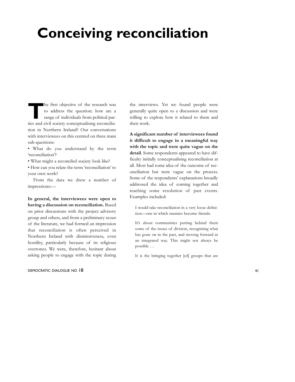# **Conceiving reconciliation**

**The first objective of the research was**<br>to address the question: how are a<br>range of individuals from political parto address the question: how are a range of individuals from political parties and civil society conceptualising reconciliation in Northern Ireland? Our conversations with interviewees on this centred on three main sub-questions:

- What do you understand by the term 'reconciliation'?
- What might a reconciled society look like?
- How can you relate the term 'reconciliation' to your own work?

From the data we drew a number of impressions:—

**In general, the interviewees were open to having a discussion on reconciliation.** Based on prior discussions with the project advisory group and others, and from a preliminary scour of the literature, we had formed an impression that reconciliation is often perceived in Northern Ireland with dismissiveness, even hostility, particularly because of its religious overtones. We were, therefore, hesitant about asking people to engage with the topic during

### DEMOCRATIC DIALOGUE NO 18 41

the interviews. Yet we found people were generally quite open to a discussion and were willing to explore how it related to them and their work.

**A significant number of interviewees found it difficult to engage in a meaningful way with the topic and were quite vague on the detail**. Some respondents appeared to have difficulty initially conceptualising reconciliation at all. Most had some idea of the outcome of reconciliation but were vague on the process. Some of the respondents' explanations broadly addressed the idea of coming together and reaching some resolution of past events. Examples included:

I would take reconciliation in a very loose definition—one in which enemies become friends.

It's about communities putting behind them some of the issues of division, recognising what has gone on in the past, and moving forward in an integrated way. This might not always be possible …

It is the bringing together [of] groups that are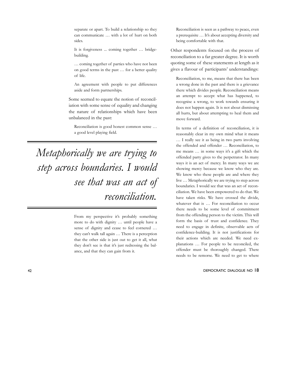separate or apart. To build a relationship so they can communicate … with a lot of hurt on both sides.

It is forgiveness ... coming together … bridgebuilding.

… coming together of parties who have not been on good terms in the past … for a better quality of life.

An agreement with people to put differences aside and form partnerships.

Some seemed to equate the notion of reconciliation with some sense of equality and changing the nature of relationships which have been unbalanced in the past:

Reconciliation is good honest common sense … a good level playing field.

*Metaphorically we are trying to step across boundaries. I would see that was an act of reconciliation.*

> From my perspective it's probably something more to do with dignity … until people have a sense of dignity and cease to feel cornered … they can't walk tall again … There is a perception that the other side is just out to get it all, what they don't see is that it's just redressing the balance, and that they can gain from it.

Reconciliation is seen as a pathway to peace, even a prerequisite … It's about accepting diversity and being comfortable with that.

Other respondents focused on the process of reconciliation to a far greater degree. It is worth quoting some of these statements at length as it gives a flavour of participants' understandings:

Reconciliation, to me, means that there has been a wrong done in the past and there is a grievance there which divides people. Reconciliation means an attempt to accept what has happened, to recognise a wrong, to work towards ensuring it does not happen again. It is not about dismissing all hurts, but about attempting to heal them and move forward.

In terms of a definition of reconciliation, it is reasonably clear in my own mind what it means … I really see it as being in two parts involving the offended and offender … Reconciliation, to me means … in some ways it's a gift which the offended party gives to the perpetrator. In many ways it is an act of mercy. In many ways we are showing mercy because we know who they are. We know who these people are and where they live … Metaphorically we are trying to step across boundaries. I would see that was an act of reconciliation. We have been empowered to do that. We have taken risks. We have crossed the divide, whatever that is ... For reconciliation to occur there needs to be some level of commitment from the offending person to the victim. This will form the basis of trust and confidence. They need to engage in definite, observable acts of confidence-building. It is not justifications for their actions which are needed. We need explanations … For people to be reconciled, the offender must be thoroughly changed. There needs to be remorse. We need to get to where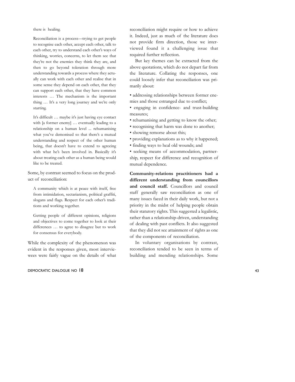there is healing.

Reconciliation is a process—trying to get people to recognise each other, accept each other, talk to each other, try to understand each other's ways of thinking, worries, concerns, to let them see that they're not the enemies they think they are, and then to go beyond toleration through more understanding towards a process where they actually can work with each other and realise that in some sense they depend on each other, that they can support each other, that they have common interests … The mechanism is the important thing … It's a very long journey and we're only starting.

It's difficult … maybe it's just having eye contact with [a former enemy] … eventually leading to a relationship on a human level ... rehumanising what you've demonised so that there's a mutual understanding and respect of the other human being, that doesn't have to extend to agreeing with what he's been involved in. Basically it's about treating each other as a human being would like to be treated.

Some, by contrast seemed to focus on the product of reconciliation:

A community which is at peace with itself, free from intimidation, sectarianism, political graffiti, slogans and flags. Respect for each other's traditions and working together.

Getting people of different opinions, religions and objectives to come together to look at their differences … to agree to disagree but to work for consensus for everybody.

While the complexity of the phenomenon was evident in the responses given, most interviewees were fairly vague on the details of what

### DEMOCRATIC DIALOGUE NO 18 43

reconciliation might require or how to achieve it. Indeed, just as much of the literature does not provide firm direction, those we interviewed found it a challenging issue that required further reflection.

But key themes can be extracted from the above quotations, which do not depart far from the literature. Collating the responses, one could loosely infer that reconciliation was primarily about:

• addressing relationships between former enemies and those estranged due to conflict;

• engaging in confidence- and trust-building measures;

• rehumanising and getting to know the other;

- recognising that harm was done to another;
- showing remorse about this;
- providing explanations as to why it happened;
- finding ways to heal old wounds; and

• seeking means of accommodation, partnership, respect for difference and recognition of mutual dependence.

**Community-relations practitioners had a different understanding from councillors and council staff.** Councillors and council staff generally saw reconciliation as one of many issues faced in their daily work, but not a priority in the midst of helping people obtain their statutory rights. This suggested a legalistic, rather than a relationship-driven, understanding of dealing with past conflicts. It also suggested that they did not see attainment of rights as one of the components of reconciliation.

In voluntary organisations by contrast, reconciliation tended to be seen in terms of building and mending relationships. Some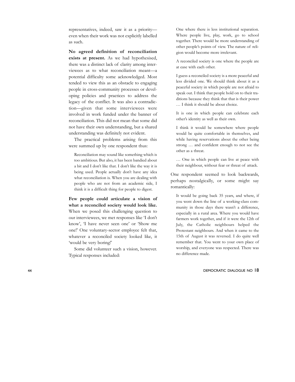representatives, indeed, saw it as a priority even when their work was not explicitly labelled as such.

**No agreed definition of reconciliation exists at present.** As we had hypothesised, there was a distinct lack of clarity among interviewees as to what reconciliation meant—a potential difficulty some acknowledged. Most tended to view this as an obstacle to engaging people in cross-community processes or developing policies and practices to address the legacy of the conflict. It was also a contradiction—given that some interviewees were involved in work funded under the banner of reconciliation. This did not mean that some did not have their own understanding, but a shared understanding was definitely not evident.

The practical problems arising from this were summed up by one respondent thus:

Reconciliation may sound like something which is too ambitious. But also, it has been bandied about a bit and I don't like that. I don't like the way it is being used. People actually don't have any idea what reconciliation is. When you are dealing with people who are not from an academic side, I think it is a difficult thing for people to digest.

**Few people could articulate a vision of what a reconciled society would look like.** When we posed this challenging question to our interviewees, we met responses like 'I don't know', 'I have never seen one' or 'Show me one!' One voluntary-sector employee felt that, whatever a reconciled society looked like, it 'would be very boring!'

Some did volunteer such a vision, however. Typical responses included:

One where there is less institutional separation. Where people live, play, work, go to school together. There would be more understanding of other people's points of view. The nature of religion would become more irrelevant.

A reconciled society is one where the people are at ease with each other.

I guess a reconciled society is a more peaceful and less divided one. We should think about it as a peaceful society in which people are not afraid to speak out. I think that people hold on to their traditions because they think that that is their power … I think it should be about choice.

It is one in which people can celebrate each other's identity as well as their own.

I think it would be somewhere where people would be quite comfortable in themselves, and while having reservations about the other being strong … and confident enough to not see the other as a threat.

… One in which people can live at peace with their neighbour, without fear or threat of attack.

One respondent seemed to look backwards, perhaps nostalgically, or some might say romantically:

It would be going back 35 years, and where, if you went down the line of a working-class community in those days there wasn't a difference, especially in a rural area. Where you would have farmers work together, and if it were the 12th of July, the Catholic neighbours helped the Protestant neighbours. And when it came to the 15th of August it was reversed. I do quite well remember that. You went to your own place of worship, and everyone was respected. There was no difference made.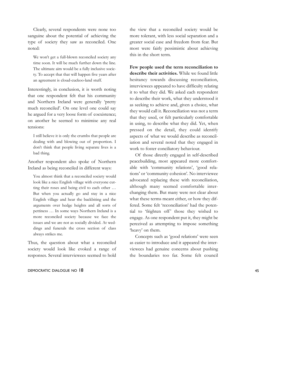Clearly, several respondents were none too sanguine about the potential of achieving the type of society they saw as reconciled. One noted:

We won't get a full-blown reconciled society any time soon. It will be much further down the line. The ultimate aim would be a fully inclusive society. To accept that that will happen five years after an agreement is cloud-cuckoo-land stuff.

Interestingly, in conclusion, it is worth noting that one respondent felt that his community and Northern Ireland were generally 'pretty much reconciled'. On one level one could say he argued for a very loose form of coexistence; on another he seemed to minimise any real tensions:

I still believe it is only the crumbs that people are dealing with and blowing out of proportion. I don't think that people living separate lives is a bad thing.

Another respondent also spoke of Northern Ireland as being reconciled in different ways:

You almost think that a reconciled society would look like a nice English village with everyone cutting their roses and being civil to each other … But when you actually go and stay in a nice English village and hear the backbiting and the arguments over hedge heights and all sorts of pettiness … In some ways Northern Ireland is a more reconciled society because we face the issues and we are not as socially divided. At weddings and funerals the cross section of class always strikes me.

Thus, the question about what a reconciled society would look like evoked a range of responses. Several interviewees seemed to hold

### DEMOCRATIC DIALOGUE NO 18 45

the view that a reconciled society would be more tolerant, with less social separation and a greater social ease and freedom from fear. But most were fairly pessimistic about achieving this in the short term.

**Few people used the term reconciliation to describe their activities.** While we found little hesitancy towards discussing reconciliation, interviewees appeared to have difficulty relating it to what they did. We asked each respondent to describe their work, what they understood it as seeking to achieve and, given a choice, what they would call it. Reconciliation was not a term that they used, or felt particularly comfortable in using, to describe what they did. Yet, when pressed on the detail, they could identify aspects of what we would describe as reconciliation and several noted that they engaged in work to foster conciliatory behaviour.

Of those directly engaged in self-described peacebuilding, most appeared more comfortable with 'community relations', 'good relations' or 'community cohesion'. No interviewee advocated replacing these with reconciliation, although many seemed comfortable interchanging them. But many were not clear about what these terms meant either, or how they differed. Some felt 'reconciliation' had the potential to 'frighten off' those they wished to engage. As one respondent put it, they might be perceived as attempting to impose something 'heavy' on them.

Concepts such as 'good relations' were seen as easier to introduce and it appeared the interviewees had genuine concerns about pushing the boundaries too far. Some felt council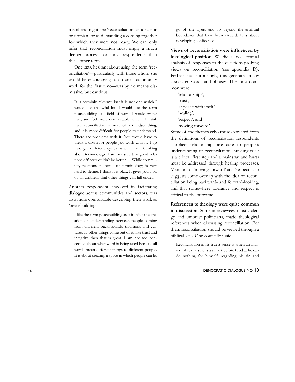members might see 'reconciliation' as idealistic or utopian, or as demanding a coming together for which they were not ready. We can only infer that reconciliation must imply a much deeper process for most respondents than these other terms.

One CRO, hesitant about using the term 'reconciliation'—particularly with those whom she would be encouraging to do cross-community work for the first time—was by no means dismissive, but cautious:

It is certainly relevant, but it is not one which I would use an awful lot. I would use the term peacebuilding as a field of work. I would prefer that, and feel more comfortable with it. I think that reconciliation is more of a mindset thing, and it is more difficult for people to understand. There are problems with it. You would have to break it down for people you work with … I go through different cycles when I am thinking about terminology. I am not sure that good relations officer wouldn't be better … While community relations, in terms of terminology, is very hard to define, I think it is okay. It gives you a bit of an umbrella that other things can fall under.

Another respondent, involved in facilitating dialogue across communities and sectors, was also more comfortable describing their work as 'peacebuilding':

I like the term peacebuilding as it implies the creation of understanding between people coming from different backgrounds, traditions and cultures. If other things come out of it, like trust and integrity, then that is great. I am not too concerned about what word is being used because all words mean different things to different people. It is about creating a space in which people can let go of the layers and go beyond the artificial boundaries that have been created. It is about developing confidence.

**Views of reconciliation were influenced by ideological position.** We did a loose textual analysis of responses to the questions probing views on reconciliation (see appendix D). Perhaps not surprisingly, this generated many associated words and phrases. The most common were:

'relationships', 'trust', 'at peace with itself', 'healing', 'respect', and 'moving forward'.

Some of the themes echo those extracted from the definitions of reconciliation respondents supplied: relationships are core to people's understanding of reconciliation, building trust is a critical first step and a mainstay, and hurts must be addressed through healing processes. Mention of 'moving forward' and 'respect' also suggests some overlap with the idea of reconciliation being backward- and forward-looking, and that somewhere tolerance and respect is critical to the outcome.

**References to theology were quite common in discussion.** Some interviewees, mostly clergy and unionist politicians, made theological references when discussing reconciliation. For them reconciliation should be viewed through a biblical lens. One councillor said:

Reconciliation in its truest sense is when an individual realises he is a sinner before God ... he can do nothing for himself regarding his sin and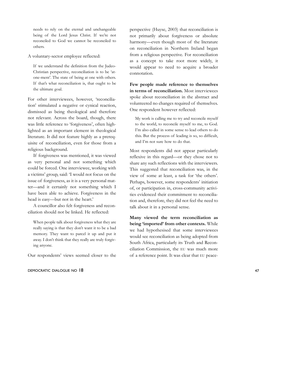needs to rely on the eternal and unchangeable being of the Lord Jesus Christ. If we're not reconciled to God we cannot be reconciled to others.

A voluntary-sector employee reflected:

If we understand the definition from the Judeo-Christian perspective, reconciliation is to be 'atone-ment'. The state of being at one with others. If that's what reconciliation is, that ought to be the ultimate goal.

For other interviewees, however, 'reconciliation' stimulated a negative or cynical reaction, dismissed as being theological and therefore not relevant. Across the board, though, there was little reference to 'forgiveness', often highlighted as an important element in theological literature. It did not feature highly as a prerequisite of reconciliation, even for those from a religious background.

If forgiveness was mentioned, it was viewed as very personal and not something which could be forced. One interviewee, working with a victims' group, said: 'I would not focus on the issue of forgiveness, as it is a very personal matter—and it certainly not something which I have been able to achieve. Forgiveness in the head is easy—but not in the heart.'

A councillor also felt forgiveness and reconciliation should not be linked. He reflected:

When people talk about forgiveness what they are really saying is that they don't want it to be a bad memory. They want to parcel it up and put it away. I don't think that they really are truly forgiving anyone.

Our respondents' views seemed closer to the

### DEMOCRATIC DIALOGUE NO 18 47

perspective (Huyse, 2003) that reconciliation is not primarily about forgiveness or absolute harmony—even though most of the literature on reconciliation in Northern Ireland began from a religious perspective. For reconciliation as a concept to take root more widely, it would appear to need to acquire a broader connotation.

**Few people made reference to themselves in terms of reconciliation.** Most interviewees spoke about reconciliation in the abstract and volunteered no changes required of themselves. One respondent however reflected:

My work is calling me to try and reconcile myself to the world, to reconcile myself to me, to God. I'm also called in some sense to lead others to do this. But the process of leading is so, so difficult, and I'm not sure how to do that.

Most respondents did not appear particularly reflexive in this regard—or they chose not to share any such reflections with the interviewers. This suggested that reconciliation was, in the view of some at least, a task for 'the others'. Perhaps, however, some respondents' initiation of, or participation in, cross-community activities evidenced their commitment to reconciliation and, therefore, they did not feel the need to talk about it in a personal sense.

**Many viewed the term reconciliation as being 'imported' from other contexts.** While we had hypothesised that some interviewees would see reconciliation as being adopted from South Africa, particularly its Truth and Reconciliation Commission, the EU was much more of a reference point. It was clear that EU peace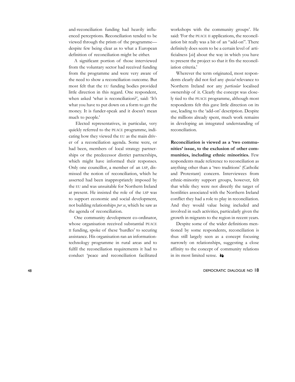and-reconciliation funding had heavily influenced perceptions. Reconciliation tended to be viewed through the prism of the programme despite few being clear as to what a European definition of reconciliation might be either.

A significant portion of those interviewed from the voluntary sector had received funding from the programme and were very aware of the need to show a reconciliation outcome. But most felt that the EU funding bodies provided little direction in this regard. One respondent, when asked 'what is reconciliation?', said: 'It's what you have to put down on a form to get the money. It is funder-speak and it doesn't mean much to people.'

Elected representatives, in particular, very quickly referred to the PEACE programme, indicating how they viewed the EU as the main driver of a reconciliation agenda. Some were, or had been, members of local strategy partnerships or the predecessor district partnerships, which might have informed their responses. Only one councillor, a member of an LSP, dismissed the notion of reconciliation, which he asserted had been inappropriately imposed by the EU and was unsuitable for Northern Ireland at present. He insisted the role of the LSP was to support economic and social development, not building relationships *per se*, which he saw as the agenda of reconciliation.

One community development co-ordinator, whose organisation received substantial PEACE II funding, spoke of these 'hurdles' to securing assistance. His organisation ran an informationtechnology programme in rural areas and to fulfil the reconciliation requirements it had to conduct 'peace and reconciliation facilitated

workshops with the community groups'. He said: 'For the PEACE II applications, the reconciliation bit really was a bit of an "add-on". There definitely does seem to be a certain level of artificialness [*sic*] about the way in which you have to present the project so that it fits the reconciliation criteria.'

Wherever the term originated, most respondents clearly did not feel any *special* relevance to Northern Ireland nor any *particular* localised ownership of it. Clearly the concept was closely tied to the PEACE programme, although most respondents felt this gave little direction on its use, leading to the 'add-on' description. Despite the millions already spent, much work remains in developing an integrated understanding of reconciliation.

**Reconciliation is viewed as a 'two communities' issue, to the exclusion of other communities, including ethnic minorities.** Few respondents made reference to reconciliation as anything other than a 'two traditions' (Catholic and Protestant) concern. Interviewees from ethnic-minority support groups, however, felt that while they were not directly the target of hostilities associated with the Northern Ireland conflict they had a role to play in reconciliation. And they would value being included and involved in such activities, particularly given the growth in migrants to the region in recent years.

Despite some of the wider definitions mentioned by some respondents, reconciliation is thus still largely seen as a concept focusing narrowly on relationships, suggesting a close affinity to the concept of community relations in its most limited sense.  $\rightarrow$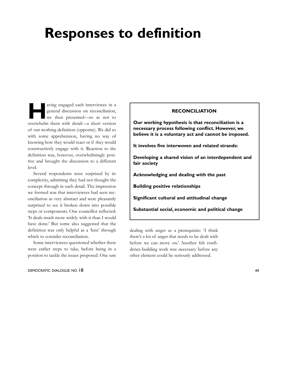## **Responses to definition**

**Having engaged each interviewee in a general discussion on reconciliation,<br>we then presented—so as not to** general discussion on reconciliation, we then presented—so as not to overwhelm them with detail—a short version of our working definition (opposite). We did so with some apprehension, having no way of knowing how they would react or if they would constructively engage with it. Reaction to the definition was, however, overwhelmingly positive and brought the discussion to a different level.

Several respondents were surprised by its complexity, admitting they had not thought the concept through in such detail. The impression we formed was that interviewees had seen reconciliation as very abstract and were pleasantly surprised to see it broken down into possible steps or components. One councillor reflected: 'It deals much more widely with it than I would have done.' But some also suggested that the definition was only helpful as a 'lens' through which to consider reconciliation.

Some interviewees questioned whether there were earlier steps to take, before being in a position to tackle the issues proposed. One saw

### DEMOCRATIC DIALOGUE NO 18 49

### **RECONCILIATION**

**Our working hypothesis is that reconciliation is a necessary process following conflict. However, we believe it is a voluntary act and cannot be imposed.**

**It involves five interwoven and related strands:**

**Developing a shared vision of an interdependent and fair society**

**Acknowledging and dealing with the past**

**Building positive relationships**

**Significant cultural and attitudinal change**

**Substantial social, economic and political change**

dealing with anger as a prerequisite: 'I think there's a lot of anger that needs to be dealt with before we can move on.' Another felt confidence-building work was necessary before any other element could be seriously addressed.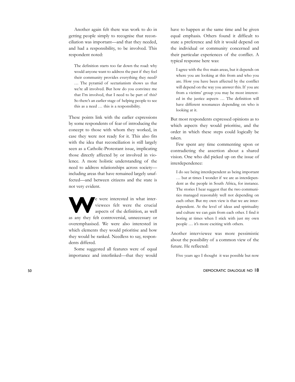Another again felt there was work to do in getting people simply to recognise that reconciliation was important—and that they needed, and had a responsibility, to be involved. This respondent noted:

The definition starts too far down the road: why would anyone want to address the past if they feel their community provides everything they need? … The pyramid of sectarianism shows us that we're all involved. But how do you convince me that I'm involved, that I need to be part of this? So there's an earlier stage of helping people to see this as a need … this is a responsibility.

These points link with the earlier expressions by some respondents of fear of introducing the concept to those with whom they worked, in case they were not ready for it. This also fits with the idea that reconciliation is still largely seen as a Catholic-Protestant issue, implicating those directly affected by or involved in violence. A more holistic understanding of the need to address relationships across society including areas that have remained largely unaffected—and between citizens and the state is not very evident.

Expressed in what inter-<br>
viewees felt were the crucial<br>
aspects of the definition, as well viewees felt were the crucial aspects of the definition, as well as any they felt controversial, unnecessary or overemphasised. We were also interested in which elements they would prioritise and how they would be ranked. Needless to say, respondents differed.

Some suggested all features were of equal importance and interlinked—that they would

have to happen at the same time and be given equal emphasis. Others found it difficult to state a preference and felt it would depend on the individual or community concerned and their particular experiences of the conflict. A typical response here was:

I agree with the five main areas, but it depends on where you are looking at this from and who you are. How you have been affected by the conflict will depend on the way you answer this. If you are from a victims' group you may be most interested in the justice aspects … The definition will have different resonances depending on who is looking at it.

But most respondents expressed opinions as to which aspects they would prioritise, and the order in which these steps could logically be taken.

Few spent any time commenting upon or contradicting the assertion about a shared vision. One who did picked up on the issue of interdependence:

I do see being interdependent as being important … but at times I wonder if we are as interdependent as the people in South Africa, for instance. The stories I hear suggest that the two communities managed reasonably well not depending on each other. But my own view is that we are interdependent. At the level of ideas and spirituality and culture we can gain from each other. I find it boring at times when I stick with just my own people … it's more exciting with others.

Another interviewee was more pessimistic about the possibility of a common view of the future. He reflected:

Five years ago I thought it was possible but now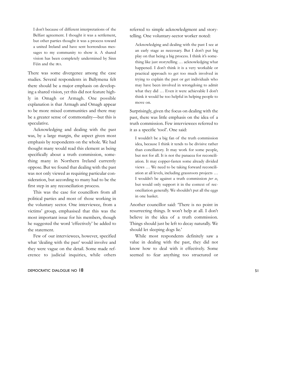I don't because of different interpretations of the Belfast agreement. I thought it was a settlement, but other parties thought it was a process toward a united Ireland and have sent horrendous messages to my community to show it. A shared vision has been completely undermined by Sinn Féin and the IRA .

There was some divergence among the case studies. Several respondents in Ballymena felt there should be a major emphasis on developing a shared vision, yet this did not feature highly in Omagh or Armagh. One possible explanation is that Armagh and Omagh appear to be more mixed communities and there may be a greater sense of commonality—but this is speculative.

Acknowledging and dealing with the past was, by a large margin, the aspect given most emphasis by respondents on the whole. We had thought many would read this element as being specifically about a truth commission, something many in Northern Ireland currently oppose. But we found that dealing with the past was not only viewed as requiring particular consideration, but according to many had to be the first step in any reconciliation process.

This was the case for councillors from all political parties and most of those working in the voluntary sector. One interviewee, from a victims' group, emphasised that this was the most important issue for his members, though he suggested the word 'effectively' be added to the statement.

Few of our interviewees, however, specified what 'dealing with the past' would involve and they were vague on the detail. Some made reference to judicial inquiries, while others

### DEMOCRATIC DIALOGUE NO 18 51

referred to simple acknowledgment and storytelling. One voluntary-sector worker noted:

Acknowledging and dealing with the past I see at an early stage as necessary. But I don't put big play on that being a big process. I think it's something like just storytelling … acknowledging what happened. I don't think it is a very workable or practical approach to get too much involved in trying to explain the past or get individuals who may have been involved in wrongdoing to admit what they did … Even it were achievable I don't think it would be too helpful in helping people to move on.

Surprisingly, given the focus on dealing with the past, there was little emphasis on the idea of a truth commission. Few interviewees referred to it as a specific 'tool'. One said:

I wouldn't be a big fan of the truth commission idea, because I think it tends to be divisive rather than conciliatory. It may work for some people, but not for all. It is not the panacea for reconciliation. It may copper-fasten some already divided views … We need to be taking forward reconciliation at all levels, including grassroots projects … I wouldn't be against a truth commission *per se* , but would only support it in the context of reconciliation generally. We shouldn't put all the eggs in one basket.

Another councillor said: 'There is no point in resurrecting things. It won't help at all. I don't believe in the idea of a truth commission. Things should just be left to decay naturally. We should let sleeping dogs lie.'

While most respondents definitely saw a value in dealing with the past, they did not know how to deal with it effectively. Some seemed to fear anything too structured or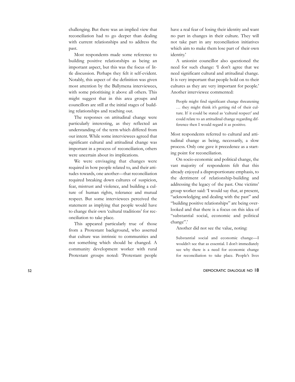challenging. But there was an implied view that reconciliation had to go deeper than dealing with current relationships and to address the past.

Most respondents made some reference to building positive relationships as being an important aspect, but this was the focus of little discussion. Perhaps they felt it self-evident. Notably, this aspect of the definition was given most attention by the Ballymena interviewees, with some prioritising it above all others. This might suggest that in this area groups and councillors are still at the initial stages of building relationships and reaching out.

The responses on attitudinal change were particularly interesting, as they reflected an understanding of the term which differed from our intent. While some interviewees agreed that significant cultural and attitudinal change was important in a process of reconciliation, others were uncertain about its implications.

We were envisaging that changes were required in how people related to, and their attitudes towards, one another—that reconciliation required breaking down cultures of suspicion, fear, mistrust and violence, and building a culture of human rights, tolerance and mutual respect. But some interviewees perceived the statement as implying that people would have to change their own 'cultural traditions' for reconciliation to take place.

This appeared particularly true of those from a Protestant background, who asserted that culture was intrinsic to communities and not something which should be changed. A community development worker with rural Protestant groups noted: 'Protestant people

have a real fear of losing their identity and want no part in changes in their culture. They will not take part in any reconciliation initiatives which aim to make them lose part of their own identity.'

A unionist councillor also questioned the need for such change: 'I don't agree that we need significant cultural and attitudinal change. It is very important that people hold on to their cultures as they are very important for people.' Another interviewee commented:

People might find significant change threatening … they might think it's getting rid of their culture. If it could be stated as 'cultural respect' and could relate to an attitudinal change regarding difference then I would regard it as positive.

Most respondents referred to cultural and attitudinal change as being, necessarily, a slow process. Only one gave it precedence as a starting point for reconciliation.

On socio-economic and political change, the vast majority of respondents felt that this already enjoyed a disproportionate emphasis, to the detriment of relationship-building and addressing the legacy of the past. One victims' group worker said: 'I would say that, at present, "acknowledging and dealing with the past" and "building positive relationships" are being overlooked and that there is a focus on this idea of "substantial social, economic and political change".'

Another did not see the value, noting:

Substantial social and economic change—I wouldn't see that as essential. I don't immediately see why there is a need for economic change for reconciliation to take place. People's lives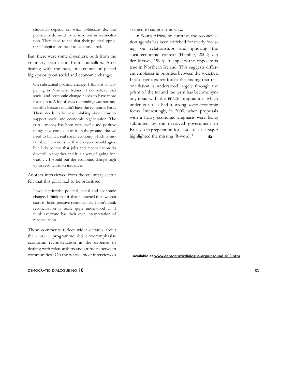shouldn't depend on what politicians do, but politicians do need to be involved in reconciliation. They need to see that their political opponents' aspirations need to be considered.

But, there were some dissenters, both from the voluntary sector and from councillors. After dealing with the past, one councillor placed high priority on social and economic change:

On substantial political change, I think it is happening in Northern Ireland. I do believe that social and economic change needs to have more focus on it. A lot of PEACE I funding was not sustainable because it didn't have the economic basis. There needs to be new thinking about how to support social and economic regeneration. The PEACE money has been very useful and positive things have come out of it on the ground. But we need to build a real social economy which is sustainable. I am not sure that everyone would agree but I do believe that jobs and reconciliation do dovetail in together and it is a way of going forward … I would put the economic change high up in reconciliation initiatives.

Another interviewee from the voluntary sector felt that this pillar had to be prioritised.

I would prioritise political, social and economic change. I think that if that happened then we can start to build positive relationships. I don't think reconciliation is really quite understood … I think everyone has their own interpretation of reconciliation.

These comments reflect wider debates about the PEACE II programme: did it overemphasise economic reconstruction at the expense of dealing with relationships and attitudes between communities? On the whole, most interviewees

DEMOCRATIC DIALOGUE NO 18 53

seemed to support this view.

In South Africa, by contrast, the reconciliation agenda has been criticised for overly focusing on relationships and ignoring the socio-economic context (Hamber, 2002; van der Merwe, 1999). It appears the opposite is true in Northern Ireland. This suggests different emphases in priorities between the societies. It also perhaps reinforces the finding that reconciliation is understood largely through the prism of the EU and the term has become synonymous with the PEACE programme, which under PEACE II had a strong socio-economic focus. Interestingly, in 2000, when proposals with a heavy economic emphasis were being submitted by the devolved government to Brussels in preparation for PEACE II, a DD paper highlighted the missing 'R-word'.1 97

**1 available at www.democraticdialogue.org/unsound\_000.htm**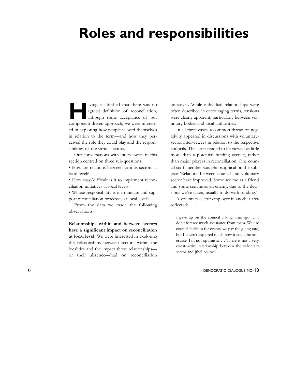## **Roles and responsibilities**

**Having established that there was no<br>agreed definition of reconciliation,<br>although some acceptance of our<br>conceptance of our** agreed definition of reconciliation, component-driven approach, we were interested in exploring how people viewed themselves in relation to the term—and how they perceived the role they could play and the responsibilities of the various actors.

Our conversations with interviewees in this section centred on three sub-questions:

• How are relations between various sectors at local level?

• How easy/difficult is it to implement reconciliation initiatives at local levels?

• Whose responsibility is it to initiate and support reconciliation processes at local level?

From the data we made the following observations:—

**Relationships within and between sectors have a significant impact on reconciliation at local level.** We were interested in exploring the relationships between sectors within the localities and the impact those relationships or their absence—had on reconciliation

initiatives. While individual relationships were often described in encouraging terms, tensions were clearly apparent, particularly between voluntary bodies and local authorities.

In all three cases, a common thread of negativity appeared in discussions with voluntarysector interviewees in relation to the respective councils. The latter tended to be viewed as little more than a potential funding avenue, rather than major players in reconciliation. One council staff member was philosophical on the subject: 'Relations between council and voluntary sector have improved. Some see me as a friend and some see me as an enemy, due to the decisions we've taken, usually to do with funding.'

A voluntary-sector employee in another area reflected:

I gave up on the council a long time ago … I don't foresee much assistance from them. We use council facilities for events, we pay the going rate, but I haven't explored much how it could be otherwise. I'm not optimistic … There is not a very constructive relationship between the voluntary sector and [the] council.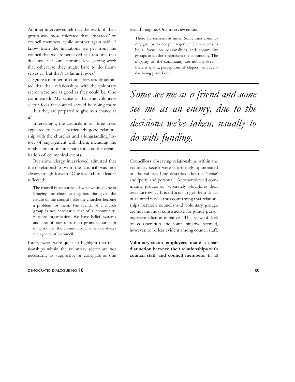Another interviewee felt that the work of their group was 'more tolerated than embraced' by council members, while another again said: 'I know from the invitations we get from the council that we are perceived as a resource that does assist at some nominal level, doing work that otherwise they might have to do themselves … but that's as far as it goes.'

Quite a number of councillors readily admitted that their relationships with the voluntary sector were not as good as they could be. One commented: 'My sense is that the voluntary sector feels the council should be doing more … but they are prepared to give us a chance at it.'

Interestingly, the councils in all three areas appeared to have a particularly good relationship with the churches and a longstanding history of engagement with them, including the establishment of inter-faith fora and the organisation of ecumenical events.

But some clergy interviewed admitted that their relationship with the council was not always straightforward. One local church leader reflected:

The council is supportive of what we are doing in bringing the churches together. But given the nature of the council's role the churches become a problem for them. The agenda of a church group is not necessarily that of a communityrelations organisation. We have belief systems and one of our roles is to promote our faith dimension in the community. That is not always the agenda of a council.

Interviewees were quick to highlight that relationships within the voluntary sector are not necessarily as supportive or collegiate as one

#### DEMOCRATIC DIALOGUE NO 18 55

would imagine. One interviewee said:

There are tensions at times. Sometimes community groups do not pull together. There seems to be a focus on personalities and community groups often don't represent the community. The majority of the community are not involved there is apathy, perceptions of cliques, own agendas being played out.

*Some see me as a friend and some see me as an enemy, due to the decisions we've taken, usually to do with funding.*

Councillors observing relationships within the voluntary sector were surprisingly opinionated on the subject. One described them as 'tense' and 'petty and personal'. Another viewed community groups as 'separately ploughing their own furrow … It is difficult to get them to act in a united way'—thus confirming that relationships between councils and voluntary groups are not the most constructive for jointly pursuing reconciliation initiatives. This view of lack of co-operation and joint initiative seemed, however, to be less evident among council staff.

**Voluntary-sector employees made a clear distinction between their relationships with council staff and council members.** In all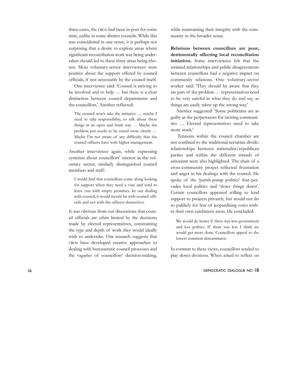three cases, the CROs had been in post for some time, unlike in some district councils. While this was coincidental in one sense, it is perhaps not surprising that a desire to explore areas where significant reconciliation work was being undertaken should led to these three areas being chosen. Most voluntary-sector interviewees were positive about the support offered by council officials, if not necessarily by the council itself.

One interviewee said: 'Council is striving to be involved and to help … but there is a clear distinction between council departments and the councillors.' Another reflected:

The council won't take the initiative … maybe I need to take responsibility, to talk about these things in an open and frank way … Maybe the problem just needs to be stated more clearly … Maybe I'm not aware of any difficulty that the council officers have with higher management.

Another interviewee again, while expressing cynicism about councillors' interest in the voluntary sector, similarly distinguished council members and staff:

I would find that councillors come along looking for support when they need a vote and tend to leave you with empty promises. In our dealing with council, it would mostly be with council officials and not with the officers themselves.

It was obvious from our discussions that council officials are often limited by the decisions made by elected representatives, constraining the type and depth of work they would ideally wish to undertake. Our research suggests that CROs have developed creative approaches to dealing with bureaucratic council processes and the vagaries of councillors' decision-making,

while maintaining their integrity with the community in the broader sense.

**Relations between councillors are poor, detrimentally affecting local reconciliation initiatives.** Some interviewees felt that the strained relationships and public disagreements between councillors had a negative impact on community relations. One voluntary-sector worker said: 'They should be aware that they are part of the problem … representatives need to be very careful in what they do and say, as things are easily taken up the wrong way.'

Another suggested: 'Some politicians are as guilty as the perpetrators for inciting communities … Elected representatives need to take more stock.'

Tensions within the council chamber are not confined to the traditional sectarian divide: relationships between nationalist/republican parties and within the different strands of unionism were also highlighted. The chair of a cross-community project reflected frustration and anger in his dealings with the council. He spoke of the 'parish-pump politics' that pervades local politics and 'slows things down'. Certain councillors appeared willing to lend support to projects privately, but would not do so publicly for fear of jeopardising votes within their own catchment areas. He concluded:

We would do better if there was less government and less politics. If there was less I think we would get more done. Councillors appeal to the lowest common denominator.

In contrast to these views, councillors tended to play down divisions. When asked to reflect on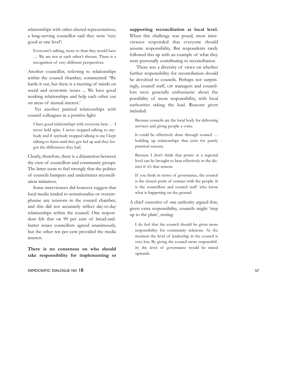relationships with other elected representatives, a long-serving councillor said they were 'very good at one level':

Everyone's talking, more so than they would have … We are not at each other's throats. There is a recognition of very different perspectives.

Another councillor, referring to relationships within the council chamber, commented: 'We battle it out, but there is a meeting of minds on social and economic issues ... We have good working relationships and help each other out on areas of mutual interest.'

Yet another painted relationships with council colleagues in a positive light:

I have good relationships with everyone here … I never held spite. I never stopped talking to anybody and if anybody stopped talking to me I kept talking to them until they got fed up and they forgot the differences they had.

Clearly, therefore, there is a disjunction between the view of councillors and community groups. The latter seem to feel strongly that the politics of councils hampers and undermines reconciliation initiatives.

Some interviewees did however suggest that local media tended to sensationalise or overemphasise any tensions in the council chamber, and this did not accurately reflect day-to-day relationships within the council. One respondent felt that on 90 per cent of bread-andbutter issues councillors agreed unanimously, but the other ten per cent provided the media interest.

**There is no consensus on who should take responsibility for implementing or**

DEMOCRATIC DIALOGUE NO 18 57

**supporting reconciliation at local level.** When this challenge was posed, most interviewees responded that everyone should assume responsibility. But respondents rarely followed this up with an example of what they were personally contributing to reconciliation.

There was a diversity of views on whether further responsibility for reconciliation should be devolved to councils. Perhaps not surprisingly, council staff, LSP managers and councillors were generally enthusiastic about the possibility of more responsibility, with local authorities taking the lead. Reasons given included:

Because councils are the local body for delivering services and giving people a voice.

It could be effectively done through council … building up relationships that exist for purely practical reasons.

Because I don't think that power at a regional level can be brought to bear effectively in the district if it's that remote.

If you think in terms of governance, the council is the closest point of contact with the people. It is the councillors and council staff who know what is happening on the ground.

A chief executive of one authority argued that, given extra responsibility, councils might 'step up to the plate', noting:

I do feel that the council should be given more responsibility for community relations. At the moment the level of leadership in the council is very low. By giving the council more responsibility the level of governance would be raised upwards.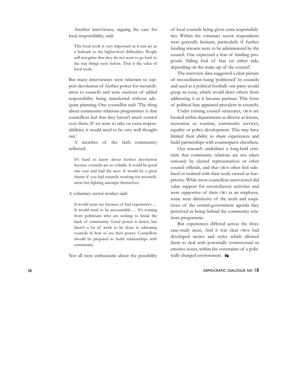Another interviewee, arguing the case for local responsibility, said:

This local work is very important as it can act as a bulwark to the higher-level difficulties. People will recognise that they do not want to go back to the way things were before. That is the value of local work.

But many interviewees were reluctant to support devolution of further power for reconciliation to councils and were cautious of added responsibility being transferred without adequate planning. One councillor said: 'The thing about community-relations programmes is that councillors feel that they haven't much control over them. If we were to take on extra responsibilities, it would need to be very well thought out.'

A member of the faith community reflected:

It's hard to know about further devolution because councils are so volatile. It could be good one year and bad the next. It would be a great shame if you had councils working for reconciliation but fighting amongst themselves.

A voluntary-sector worker said:

It would scare me because of bad experiences … It would need to be accountable … It's coming from politicians who are seeking to break the back of community. Local power is better, but there's a lot of work to be done in educating councils in how to use their power. Councillors should be prepared to build relationships with community.

Not all were enthusiastic about the possibility

of local councils being given extra responsibilities. Within the voluntary sector respondents were generally hesitant, particularly if further funding streams were to be administered by the council. One expressed a fear of funding proposals 'falling foul of bias on either side, depending on the make-up of the council'.

The interview data suggested a clear picture of reconciliation being 'politicised' by councils and used as a political football: one party would grasp an issue, which would deter others from addressing it as it became partisan. This form of political bias appeared prevalent in councils.

Under existing council structures, CROs are located within departments as diverse as leisure, recreation or tourism, community services, equality or policy development. This may have limited their ability to share experiences and build partnerships with counterparts elsewhere.

Our research underlines a long-held criticism that community relations are not taken seriously by elected representatives or other council officials, and that CROs often feel sidelined or isolated with their work viewed as lowpriority. While most councillors interviewed did value support for reconciliatory activities and were supportive of their CRO as an employee, some were dismissive of the work and suspicious of the central-government agenda they perceived as being behind the community relations programme.

But experiences differed across the three case-study areas. And it was clear CROs had developed tactics and styles which allowed them to deal with potentially controversial or emotive issues, within the constraints of a politically charged environment.  $\rightarrow$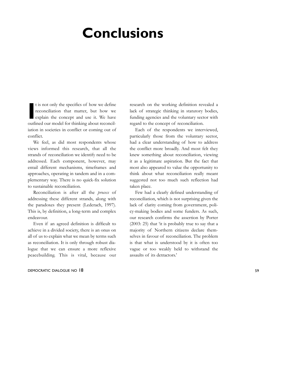## **Conclusions**

**I** t is not only the specifics of how we define reconciliation that matter, but how we explain the concept and use it. We have outlined our model for thinking about reconciliation in societies in conflict or coming out of conflict.

We feel, as did most respondents whose views informed this research, that all the strands of reconciliation we identify need to be addressed. Each component, however, may entail different mechanisms, timeframes and approaches, operating in tandem and in a complementary way. There is no quick-fix solution to sustainable reconciliation.

Reconciliation is after all the *process* of addressing these different strands, along with the paradoxes they present (Lederach, 1997). This is, by definition, a long-term and complex endeavour.

Even if an agreed definition is difficult to achieve in a divided society, there is an onus on all of us to explain what we mean by terms such as reconciliation. It is only through robust dialogue that we can ensure a more reflexive peacebuilding. This is vital, because our

### DEMOCRATIC DIALOGUE NO 18 59

research on the working definition revealed a lack of strategic thinking in statutory bodies, funding agencies and the voluntary sector with regard to the concept of reconciliation.

Each of the respondents we interviewed, particularly those from the voluntary sector, had a clear understanding of how to address the conflict more broadly. And most felt they knew something about reconciliation, viewing it as a legitimate aspiration. But the fact that most also appeared to value the opportunity to think about what reconciliation really meant suggested not too much such reflection had taken place.

Few had a clearly defined understanding of reconciliation, which is not surprising given the lack of clarity coming from government, policy-making bodies and some funders. As such, our research confirms the assertion by Porter (2003: 25) that 'it is probably true to say that a majority of Northern citizens declare themselves in favour of reconciliation. The problem is that what is understood by it is often too vague or too weakly held to withstand the assaults of its detractors.'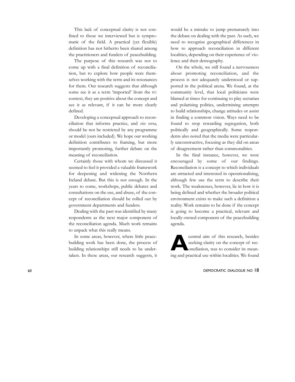This lack of conceptual clarity is not confined to those we interviewed but is symptomatic of the field. A practical (yet flexible) definition has not hitherto been shared among the practitioners and funders of peacebuilding.

The purpose of this research was not to come up with a final definition of reconciliation, but to explore how people were themselves working with the term and its resonances for them. Our research suggests that although some see it as a term 'imported' from the EU context, they are positive about the concept and see it as relevant, if it can be more clearly defined.

Developing a conceptual approach to reconciliation that informs practice, and *vice versa*, should be not be restricted by any programme or model (ours included). We hope our working definition contributes to framing, but more importantly promoting, further debate on the meaning of reconciliation.

Certainly those with whom we discussed it seemed to feel it provided a valuable framework for deepening and widening the Northern Ireland debate. But this is not enough. In the years to come, workshops, public debates and consultations on the use, and abuse, of the concept of reconciliation should be rolled out by government departments and funders.

Dealing with the past was identified by many respondents as the next major component of the reconciliation agenda. Much work remains to unpack what this really means.

In some areas, however, where little peacebuilding work has been done, the process of building relationships still needs to be undertaken. In these areas, our research suggests, it

would be a mistake to jump prematurely into the debate on dealing with the past. As such, we need to recognise geographical differences in how to approach reconciliation in different localities, depending on their experience of violence and their demography.

On the whole, we still found a nervousness about promoting reconciliation, and the process is not adequately understood or supported in the political arena. We found, at the community level, that local politicians were blamed at times for continuing to play sectarian and polarising politics, undermining attempts to build relationships, change attitudes or assist in finding a common vision. Ways need to be found to stop rewarding segregation, both politically and geographically. Some respondents also noted that the media were particularly unconstructive, focusing as they did on areas of disagreement rather than commonalities.

In the final instance, however, we were encouraged by some of our findings. Reconciliation is a concept to which individuals are attracted and interested in operationalising, although few use the term to describe their work. The weaknesses, however, lie in how it is being defined and whether the broader political environment exists to make such a definition a reality. Work remains to be done if the concept is going to become a practical, relevant and locally-owned component of the peacebuilding agenda.

**Acentral aim of this research, besides<br>
seeking clarity on the concept of reconciliation, was to consider its mean-<br>
integral proprieting localities We found** seeking clarity on the concept of reconciliation, was to consider its meaning and practical use within localities. We found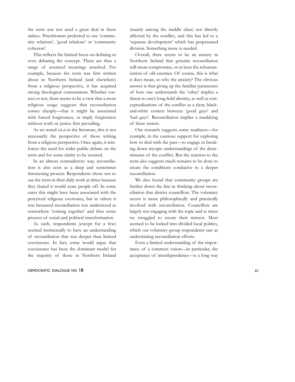the term was not used a great deal in these *milieux*. Practitioners preferred to use 'community relations', 'good relations' or 'community cohesion'.

This reflects the limited focus on defining or even debating the concept. There are thus a range of assumed meanings attached. For example, because the term was first written about in Northern Ireland (and elsewhere) from a religious perspective, it has acquired strong theological connotations. Whether correct or not, there seems to be a view that a more religious usage suggests that reconciliation comes cheaply—that it might be associated with forced forgiveness, or imply forgiveness without truth or justice first prevailing.

As we noted *vis-à-vis* the literature, this is not necessarily the perspective of those writing from a religious perspective. Once again, it reinforces the need for wider public debate on the term and for some clarity to be secured.

In an almost contradictory way, reconciliation is also seen as a deep and sometimes threatening process. Respondents chose not to use the term in their daily work at times because they feared it would scare people off. In some cases this might have been associated with the perceived religious overtones, but in others it was becaused reconciliation was understood as somewhere 'coming together' and thus some process of social and political transformation.

As such, respondents (except for a few) seemed instinctually to have an understanding of reconciliation that was deeper than limited coexistence. In fact, some would argue that coexistence has been the dominant model for the majority of those in Northern Ireland

### DEMOCRATIC DIALOGUE NO 18 61

(mainly among the middle class) not directly affected by the conflict, and this has led to a 'separate development' which has perpetuated division. Something more is needed.

Overall, there seems to be an anxiety in Northern Ireland that genuine reconciliation will mean compromise, or at least the rehumanisation of old enemies. Of course, this is what it does mean, so why the anxiety? The obvious answer is that giving up the familiar parameters of how one understands the 'other' implies a threat to one's long-held identity, as well as conceptualisations of the conflict as a clear, blackand-white contest between 'good guys' and 'bad guys'. Reconciliation implies a muddying of these waters.

Our research suggests some readiness—for example, in the cautious support for exploring how to deal with the past—to engage in breaking down myopic understandings of the determinants of the conflict. But the reaction to the term also suggests much remains to be done to create the conditions conducive to a deeper reconciliation.

We also found that community groups are further down the line in thinking about reconciliation that district councillors. The voluntary sector is more philosophically and practically involved with reconciliation. Councillors are largely not engaging with the topic and at times we struggled to secure their interest. Most seemed to be locked into divided local politics, which our voluntary-group respondents saw as undermining reconciliation efforts.

Even a limited understanding of the importance of a common vision—in particular, the acceptance of interdependence—is a long way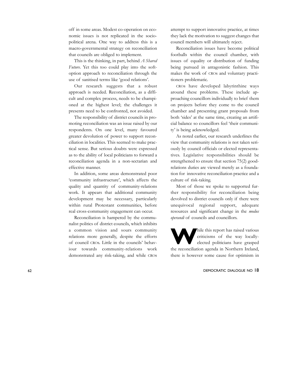off in some areas. Modest co-operation on economic issues is not replicated in the sociopolitical arena. One way to address this is a macro-governmental strategy on reconciliation that councils are obliged to implement.

This is the thinking, in part, behind *A Shared Future*. Yet this too could play into the softoption approach to reconciliation through the use of sanitised terms like 'good relations'.

Our research suggests that a robust approach is needed. Reconciliation, as a difficult and complex process, needs to be championed at the highest level; the challenges it presents need to be confronted, not avoided.

The responsibility of district councils in promoting reconciliation was an issue raised by our respondents. On one level, many favoured greater devolution of power to support reconciliation in localities. This seemed to make practical sense. But serious doubts were expressed as to the ability of local politicians to forward a reconciliation agenda in a non-sectarian and effective manner.

In addition, some areas demonstrated poor 'community infrastructure', which affects the quality and quantity of community-relations work. It appears that additional community development may be necessary, particularly within rural Protestant communities, before real cross-community engagement can occur.

Reconciliation is hampered by the communalist politics of district councils, which inhibits a common vision and sours community relations more generally, despite the efforts of council CROs. Little in the councils' behaviour towards community-relations work demonstrated any risk-taking, and while CROs

attempt to support innovative practice, at times they lack the motivation to suggest changes that council members will ultimately reject.

Reconciliation issues have become political footballs within the council chamber, with issues of equality or distribution of funding being pursued in antagonistic fashion. This makes the work of CROs and voluntary practitioners problematic.

CROs have developed labyrinthine ways around these problems. These include approaching councillors individually to brief them on projects before they come to the council chamber and presenting grant proposals from both 'sides' at the same time, creating an artificial balance so councillors feel 'their community' is being acknowledged.

As noted earlier, our research underlines the view that community relations is not taken seriously by council officials or elected representatives. Legislative responsibilities should be strengthened to ensure that section 75(2) goodrelations duties are viewed merely as a foundation for innovative reconciliation practice and a culture of risk-taking.

Most of those we spoke to supported further responsibility for reconciliation being devolved to district councils only if there were unequivocal regional support, adequate resources and significant change in the *modus operandi* of councils and councillors.

hile this report has raised various<br>criticisms of the way locally-<br>elected politicians have grasped criticisms of the way locallyelected politicians have grasped the reconciliation agenda in Northern Ireland, there is however some cause for optimism in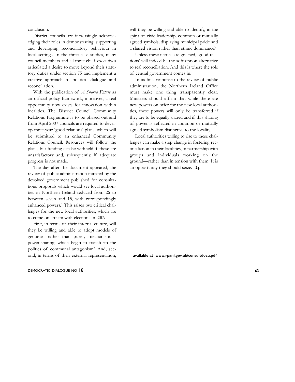conclusion.

District councils are increasingly acknowledging their roles in demonstrating, supporting and developing reconciliatory behaviour in local settings. In the three case studies, many council members and all three chief executives articulated a desire to move beyond their statutory duties under section 75 and implement a creative approach to political dialogue and reconciliation.

With the publication of *A Shared Future* as an official policy framework, moreover, a real opportunity now exists for innovation within localities. The District Council Community Relations Programme is to be phased out and from April 2007 councils are required to develop three-year 'good relations' plans, which will be submitted to an enhanced Community Relations Council. Resources will follow the plans, but funding can be withheld if these are unsatisfactory and, subsequently, if adequate progress is not made.

The day after the document appeared, the review of public administration initiated by the devolved government published for consultations proposals which would see local authorities in Northern Ireland reduced from 26 to between seven and 15, with correspondingly enhanced powers.1 This raises two critical challenges for the new local authorities, which are to come on stream with elections in 2009.

First, in terms of their internal culture, will they be willing and able to adopt models of genuine—rather than purely mechanistic power-sharing, which begin to transform the politics of communal antagonism? And, second, in terms of their external representation,

### DEMOCRATIC DIALOGUE NO 18 63

will they be willing and able to identify, in the spirit of civic leadership, common or mutually agreed symbols, displaying municipal pride and a shared vision rather than ethnic dominance?

Unless these nettles are grasped, 'good relations' will indeed be the soft-option alternative to real reconciliation. And this is where the role of central government comes in.

In its final response to the review of public administration, the Northern Ireland Office must make one thing transparently clear. Ministers should affirm that while there are new powers on offer for the new local authorities, these powers will only be transferred if they are to be equally shared and if this sharing of power is reflected in common or mutually agreed symbolism distinctive to the locality.

Local authorities willing to rise to these challenges can make a step change in fostering reconciliation in their localities, in partnership with groups and individuals working on the ground—rather than in tension with them. It is an opportunity they should seize.  $\rightarrow$ 

**1 available at www.rpani.gov.uk/consultdocu.pdf**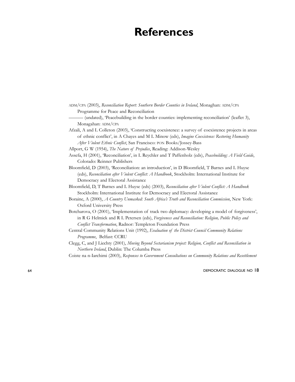### **References**

|                                        |  |  |                                                                                                                                                                                                                                                                                                             |  |  |  |  |  |  |  | ADM/CPA (2003), Reconciliation Report: Southern Border Counties in Ireland, Monaghan: ADM/CPA |  |  |
|----------------------------------------|--|--|-------------------------------------------------------------------------------------------------------------------------------------------------------------------------------------------------------------------------------------------------------------------------------------------------------------|--|--|--|--|--|--|--|-----------------------------------------------------------------------------------------------|--|--|
| Programme for Peace and Reconciliation |  |  |                                                                                                                                                                                                                                                                                                             |  |  |  |  |  |  |  |                                                                                               |  |  |
|                                        |  |  | $\mathbf{1}$ , $\mathbf{1}$ , $\mathbf{1}$ , $\mathbf{1}$ , $\mathbf{1}$ , $\mathbf{1}$ , $\mathbf{1}$ , $\mathbf{1}$ , $\mathbf{1}$ , $\mathbf{1}$ , $\mathbf{1}$ , $\mathbf{1}$ , $\mathbf{1}$ , $\mathbf{1}$ , $\mathbf{1}$ , $\mathbf{1}$ , $\mathbf{1}$ , $\mathbf{1}$ , $\mathbf{1}$ , $\mathbf{1}$ , |  |  |  |  |  |  |  | $\mathbf{u}$ , $\mathbf{u}$ , $\mathbf{u}$ , $\mathbf{u}$                                     |  |  |

——— (undated), 'Peacebuilding in the border counties: implementing reconciliation' (leaflet 3), Monagahan: ADM/CPA

- Afzali, A and L Colleton (2003), 'Constructing coexistence: a survey of coexistence projects in areas of ethnic conflict', in A Chayes and M L Minow (eds), *Imagine Coexistence: Restoring Humanity After Violent Ethnic Conflict*, San Francisco: PON Books/Jossey-Bass
- Allport, G W (1954), *The Nature of Prejudice*, Reading: Addison-Wesley

Assefa, H (2001), 'Reconciliation', in L Reychler and T Paffenholz (eds), *Peacebuilding: A Field Guide*, Colorado: Reinner Publishers

Bloomfield, D (2003), 'Reconciliation: an introduction', in D Bloomfield, T Barnes and L Huyse (eds), *Reconciliation after Violent Conflict: A Handbook*, Stockholm: International Institute for Democracy and Electoral Assistance

Bloomfield, D, T Barnes and L Huyse (eds) (2003), *Reconciliation after Violent Conflict: A Handbook* Stockholm: International Institute for Democracy and Electoral Assistance

- Boraine, A (2000), *A Country Unmasked: South Africa's Truth and Reconciliation Commission*, New York: Oxford University Press
- Botcharova, O (2001), 'Implementation of track two diplomacy: developing a model of forgiveness', in R G Helmick and R L Petersen (eds), *Forgiveness and Reconciliation: Religion, Public Policy and Conflict Transformation*, Radnor: Templeton Foundation Press
- Central Community Relations Unit (1992), *Evaluation of the District Council Community Relations Programme*, Belfast: CCRU

Clegg, C, and J Liechty (2001), *Moving Beyond Sectarianism project: Religion, Conflict and Reconciliation in Northern Ireland*, Dublin: The Columba Press

Coiste na n-Iarchimi (2003), *Responses to Government Consultations on Community Relations and Resettlement*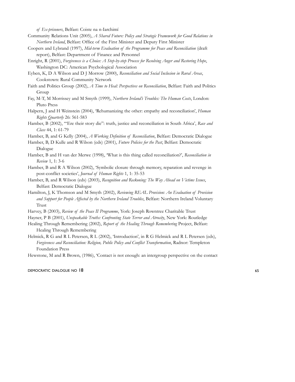*of Ex-prisoners*, Belfast: Coiste na n-Iarchimí

- Community Relations Unit (2005), *A Shared Future: Policy and Strategic Framework for Good Relations in Northern Ireland*, Belfast: Office of the First Minister and Deputy First Minister
- Coopers and Lybrand (1997), *Mid-term Evaluation of the Programme for Peace and Reconciliation* (draft report), Belfast: Department of Finance and Personnel
- Enright, R (2001), *Forgiveness is a Choice: A Step-by-step Process for Resolving Anger and Restoring Hope*, Washington DC: American Psychological Association
- Eyben, K, D A Wilson and D J Morrow (2000), *Reconciliation and Social Inclusion in Rural Areas*, Cookstown: Rural Community Network
- Faith and Politics Group (2002), *A Time to Heal: Perspectives on Reconciliation*, Belfast: Faith and Politics Group
- Fay, M-T, M Morrissey and M Smyth (1999), *Northern Ireland's Troubles: The Human Costs*, London: Pluto Press
- Halpern, J and H Weinstein (2004), 'Rehumanizing the other: empathy and reconciliation', *Human Rights Quarterly* 26: 561-583
- Hamber, B (2002), '"Ere their story die": truth, justice and reconciliation in South Africa', *Race and Class* 44, 1: 61-79

Hamber, B, and G Kelly (2004), *A Working Definition of Reconciliation*, Belfast: Democratic Dialogue

- Hamber, B, D Kulle and R Wilson (eds) (2001), *Future Policies for the Past*, Belfast: Democratic Dialogue
- Hamber, B and H van der Merwe (1998), 'What is this thing called reconciliation?', *Reconciliation in Review* 1, 1: 3-6
- Hamber, B and R A Wilson (2002), 'Symbolic closure through memory, reparation and revenge in post-conflict societies', *Journal of Human Rights* 1, 1: 35-53
- Hamber, B, and R Wilson (eds) (2003), *Recognition and Reckoning: The Way Ahead on Victims Issues*, Belfast: Democratic Dialogue
- Hamilton, J, K Thomson and M Smyth (2002), *Reviewing REAL Provision: An Evaluation of Provision and Support for People Affected by the Northern Ireland Troubles*, Belfast: Northern Ireland Voluntary Trust
- Harvey, B (2003), *Review of the Peace II Programme*, York: Joseph Rowntree Charitable Trust
- Hayner, P B (2001), *Unspeakable Truths: Confronting State Terror and Atrocity*, New York: Routledge
- Healing Through Remembering (2002), *Report of the Healing Through Remembering* Project, Belfast: Healing Through Remembering
- Helmick, R G and R L Petersen, R L (2002), 'Introduction', in R G Helmick and R L Petersen (eds), *Forgiveness and Reconciliation: Religion, Public Policy and Conflict Transformation*, Radnor: Templeton Foundation Press

Hewstone, M and R Brown, (1986), 'Contact is not enough: an intergroup perspective on the contact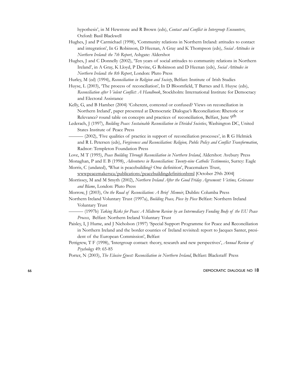hypothesis', in M Hewstone and R Brown (eds), *Contact and Conflict in Intergroup Encounters*, Oxford: Basil Blackwell

- Hughes, J and P Carmichael (1998), 'Community relations in Northern Ireland: attitudes to contact and integration', In G Robinson, D Heenan, A Gray and K Thompson (eds), *Social Attitudes in Northern Ireland: the 7th Report*, Ashgate: Aldershot
- Hughes, J and C Donnelly (2002), 'Ten years of social attitudes to community relations in Northern Ireland', in A Gray, K Lloyd, P Devine, G Robinson and D Heenan (eds), *Social Attitudes in Northern Ireland: the 8th Report*, London: Pluto Press
- Hurley, M (ed) (1994), *Reconciliation in Religion and Society*, Belfast: Institute of Irish Studies
- Huyse, L (2003), 'The process of reconciliation', In D Bloomfield, T Barnes and L Huyse (eds), *Reconciliation after Violent Conflict: A Handbook*, Stockholm: International Institute for Democracy and Electoral Assistance
- Kelly, G, and B Hamber (2004) 'Coherent, contested or confused? Views on reconciliation in Northern Ireland', paper presented at Democratic Dialogue's Reconciliation: Rhetoric or Relevance? round table on concepts and practices of reconciliation, Belfast, June 9<sup>th</sup>
- Lederach, J (1997), *Building Peace: Sustainable Reconciliation in Divided Societies*, Washington DC, United States Institute of Peace Press
- $-$  (2002), 'Five qualities of practice in support of reconciliation processes', in R G Helmick and R L Petersen (eds), *Forgiveness and Reconciliation: Religion, Public Policy and Conflict Transformation*, Radnor: Templeton Foundation Press

Love, M T (1995), *Peace Building Through Reconciliation in Northern Ireland*, Aldershot: Avebury Press

Monaghan, P and E B (1998), *Adventures in Reconciliation: Twenty-nine Catholic Testimonies*, Surrey: Eagle

Morris, C (undated), 'What is peacebuilding? One definition', Peacemakers Trust,

- wwwpeacemakersca/publications/peacebuildingdefinitionhtml [October 29th 2004] Morrissey, M and M Smyth (2002), *Northern Ireland After the Good Friday Agreement: Victims, Grievance and Blame*, London: Pluto Press
- Morrow, J (2003), *On the Road of Reconciliation: A Brief Memoir*, Dublin: Columba Press
- Northern Ireland Voluntary Trust (1997a), *Building Peace, Piece by Piece* Belfast: Northern Ireland Voluntary Trust
- ——— (1997b) *Taking Risks for Peace: A Midterm Review by an Intermediary Funding Body of the EU Peace Process*, Belfast: Northern Ireland Voluntary Trust
- Paisley, I, J Hume, and J Nicholson (1997) 'Special Support Programme for Peace and Reconciliation in Northern Ireland and the border counties of Ireland revisited: report to Jacques Santer, president of the European Commission', Belfast
- Pettigrew, T F (1998), 'Intergroup contact: theory, research and new perspectives', *Annual Review of Psychology* 49: 65-85

Porter, N (2003), *The Elusive Quest: Reconciliation in Northern Ireland*, Belfast: Blackstaff Press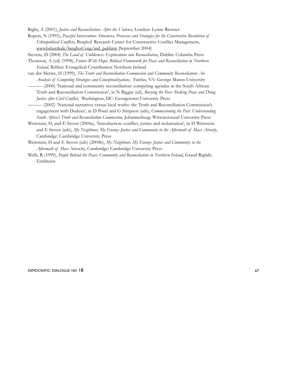Rigby, A (2001), *Justice and Reconciliation: After the Violence*, London: Lynne Rienner

Ropers, N (1995), *Peaceful Intervention: Structures, Processes and Strategies for the Constructive Resolution of Ethnopolitical Conflicts*, Berghof Research Center for Constructive Conflict Management, wwwbshuttlede/berghof/eng/ind\_pubhtm [September 2004]

Stevens, D (2004) *The Land of Unlikeness: Explorations into Reconciliation*, Dublin: Columba Press

Thomson, A (ed) (1998), *Future With Hope: Biblical Framework for Peace and Reconciliation in Northern Ireland*, Belfast: Evangelical Contribution Northern Ireland

- van der Merwe, H (1999), *The Truth and Reconciliation Commission and Community Reconciliation: An Analysis of Competing Strategies and Conceptualizations*, Fairfax, VA: George Mason University ——— (2000) 'National and community reconciliation: competing agendas in the South African Truth and Reconciliation Commission', in N Biggar (ed), *Burying the Past: Making Peace and Doing Justice after Civil Conflict*, Washington, DC: Georgetown University Press
- ——— (2002) 'National narratives versus local truths: the Truth and Reconciliation Commission's engagement with Duduza', in D Posel and G Simpson (eds), *Commissioning the Past: Understanding South Africa's Truth and Reconciliation Commission*, Johannesburg: Witwatersrand University Press
- Weinstein, H, and E Stover (2004a), 'Introduction: conflict, justice and reclamation', in H Weinstein and E Stover (eds), *My Neighbour, My Enemy: Justice and Community in the Aftermath of Mass Atrocity*, Cambridge: Cambridge University Press
- Weinstein, H and E Stover (eds) (2004b), *My Neighbour, My Enemy: Justice and Community in the Aftermath of Mass* Atrocity, Cambridge: Cambridge University Press
- Wells, R (1999), *People Behind the Peace: Community and Reconciliation in Northern Ireland*, Grand Rapids: Eerdmans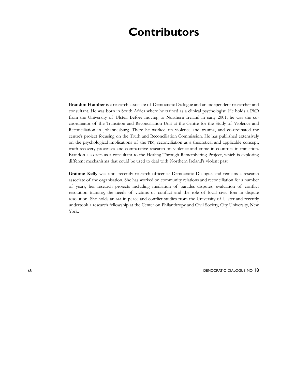### **Contributors**

**Brandon Hamber** is a research associate of Democratic Dialogue and an independent researcher and consultant. He was born in South Africa where he trained as a clinical psychologist. He holds a PhD from the University of Ulster. Before moving to Northern Ireland in early 2001, he was the cocoordinator of the Transition and Reconciliation Unit at the Centre for the Study of Violence and Reconciliation in Johannesburg. There he worked on violence and trauma, and co-ordinated the centre's project focusing on the Truth and Reconciliation Commission. He has published extensively on the psychological implications of the TRC, reconciliation as a theoretical and applicable concept, truth-recovery processes and comparative research on violence and crime in countries in transition. Brandon also acts as a consultant to the Healing Through Remembering Project, which is exploring different mechanisms that could be used to deal with Northern Ireland's violent past.

**Gráinne Kelly** was until recently research officer at Democratic Dialogue and remains a research associate of the organisation. She has worked on community relations and reconciliation for a number of years, her research projects including mediation of parades disputes, evaluation of conflict resolution training, the needs of victims of conflict and the role of local civic fora in dispute resolution. She holds an MA in peace and conflict studies from the University of Ulster and recently undertook a research fellowship at the Center on Philanthropy and Civil Society, City University, New York.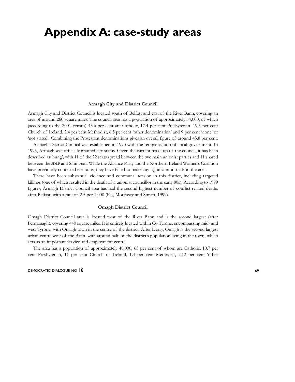### **Appendix A: case-study areas**

#### **Armagh City and District Council**

Armagh City and District Council is located south of Belfast and east of the River Bann, covering an area of around 260 square miles. The council area has a population of approximately 54,000, of which (according to the 2001 census) 45.6 per cent are Catholic, 17.4 per cent Presbyterian, 19.5 per cent Church of Ireland, 2.4 per cent Methodist, 6.5 per cent 'other denomination' and 9 per cent 'none' or 'not stated'. Combining the Protestant denominations gives an overall figure of around 45.8 per cent.

Armagh District Council was established in 1973 with the reorganisation of local government. In 1995, Armagh was officially granted city status. Given the current make-up of the council, it has been described as 'hung', with 11 of the 22 seats spread between the two main unionist parties and 11 shared between the SDLP and Sinn Féin. While the Alliance Party and the Northern Ireland Women's Coalition have previously contested elections, they have failed to make any significant inroads in the area.

There have been substantial violence and communal tension in this district, including targeted killings (one of which resulted in the death of a unionist councillor in the early 80s). According to 1999 figures, Armagh District Council area has had the second highest number of conflict-related deaths after Belfast, with a rate of 2.5 per 1,000 (Fay, Morrissey and Smyth, 1999).

#### **Omagh District Council**

Omagh District Council area is located west of the River Bann and is the second largest (after Fermanagh), covering 440 square miles. It is entirely located within Co Tyrone, encompassing mid- and west Tyrone, with Omagh town in the centre of the district. After Derry, Omagh is the second largest urban centre west of the Bann, with around half of the district's population living in the town, which acts as an important service and employment centre.

The area has a population of approximately 48,000, 65 per cent of whom are Catholic, 10.7 per cent Presbyterian, 11 per cent Church of Ireland, 1.4 per cent Methodist, 3.12 per cent 'other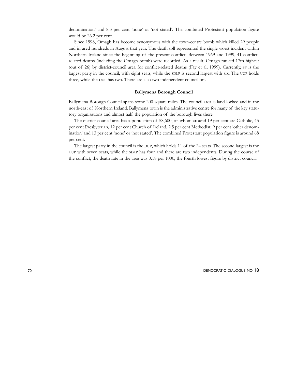denomination' and 8.3 per cent 'none' or 'not stated'. The combined Protestant population figure would be 26.2 per cent.

Since 1998, Omagh has become synonymous with the town-centre bomb which killed 29 people and injured hundreds in August that year. The death toll represented the single worst incident within Northern Ireland since the beginning of the present conflict. Between 1969 and 1999, 41 conflictrelated deaths (including the Omagh bomb) were recorded. As a result, Omagh ranked 17th highest (out of 26) by district-council area for conflict-related deaths (Fay et al, 1999). Currently, SF is the largest party in the council, with eight seats, while the SDLP is second largest with six. The UUP holds three, while the DUP has two. There are also two independent councillors.

### **Ballymena Borough Council**

Ballymena Borough Council spans some 200 square miles. The council area is land-locked and in the north-east of Northern Ireland. Ballymena town is the administrative centre for many of the key statutory organisations and almost half the population of the borough lives there.

The district-council area has a population of 58,600, of whom around 19 per cent are Catholic, 45 per cent Presbyterian, 12 per cent Church of Ireland, 2.5 per cent Methodist, 9 per cent 'other denomination' and 13 per cent 'none' or 'not stated'. The combined Protestant population figure is around 68 per cent.

The largest party in the council is the DUP, which holds 11 of the 24 seats. The second largest is the UUP with seven seats, while the SDLP has four and there are two independents. During the course of the conflict, the death rate in the area was 0.18 per 1000, the fourth lowest figure by district council.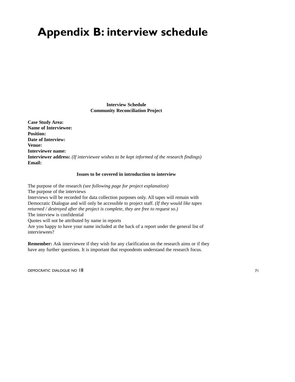## **Appendix B: interview schedule**

**Interview Schedule Community Reconciliation Project**

**Case Study Area: Name of Interviewee: Position: Date of Interview: Venue: Interviewer name: Interviewer address:** *(If interviewee wishes to be kept informed of the research findings)* **Email:**

### **Issues to be covered in introduction to interview**

The purpose of the research *(see following page for project explanation)* The purpose of the interviews Interviews will be recorded for data collection purposes only. All tapes will remain with Democratic Dialogue and will only be accessible to project staff. *(If they would like tapes returned / destroyed after the project is complete, they are free to request so.)* The interview is confidential Quotes will not be attributed by name in reports Are you happy to have your name included at the back of a report under the general list of interviewees?

**Remember:** Ask interviewee if they wish for any clarification on the research aims or if they have any further questions. It is important that respondents understand the research focus.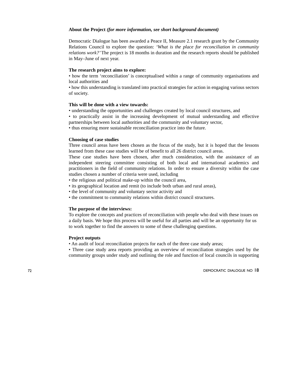### **About the Project** *(for more information, see short background document)*

Democratic Dialogue has been awarded a Peace II, Measure 2.1 research grant by the Community Relations Council to explore the question: *'What is the place for reconciliation in community relations work?'*The project is 18 months in duration and the research reports should be published in May–June of next year.

### **The research project aims to explore:**

• how the term 'reconciliation' is conceptualised within a range of community organisations and local authorities and

• how this understanding is translated into practical strategies for action in engaging various sectors of society.

### **This will be done with a view towards:**

• understanding the opportunities and challenges created by local council structures, and

• to practically assist in the increasing development of mutual understanding and effective partnerships between local authorities and the community and voluntary sector,

• thus ensuring more sustainable reconciliation practice into the future.

### **Choosing of case studies**

Three council areas have been chosen as the focus of the study, but it is hoped that the lessons learned from these case studies will be of benefit to all 26 district council areas.

These case studies have been chosen, after much consideration, with the assistance of an independent steering committee consisting of both local and international academics and practitioners in the field of community relations. In order to ensure a diversity within the case studies chosen a number of criteria were used, including

• the religious and political make-up within the council area,

- its geographical location and remit (to include both urban and rural areas),
- the level of community and voluntary sector activity and
- the commitment to community relations within district council structures.

### **The purpose of the interviews:**

To explore the concepts and practices of reconciliation with people who deal with these issues on a daily basis. We hope this process will be useful for all parties and will be an opportunity for us to work together to find the answers to some of these challenging questions.

### **Project outputs**

• An audit of local reconciliation projects for each of the three case study areas;

• Three case study area reports providing an overview of reconciliation strategies used by the community groups under study and outlining the role and function of local councils in supporting

The MOCRATIC DIALOGUE NO 18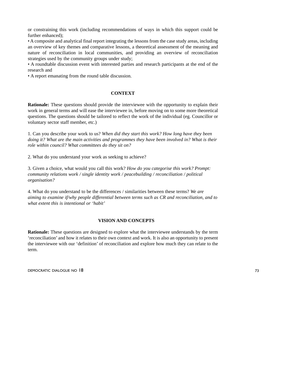or constraining this work (including recommendations of ways in which this support could be further enhanced);

• A composite and analytical final report integrating the lessons from the case study areas, including an overview of key themes and comparative lessons, a theoretical assessment of the meaning and nature of reconciliation in local communities, and providing an overview of reconciliation strategies used by the community groups under study;

• A roundtable discussion event with interested parties and research participants at the end of the research and

• A report emanating from the round table discussion.

## **CONTEXT**

**Rationale:** These questions should provide the interviewee with the opportunity to explain their work in general terms and will ease the interviewee in, before moving on to some more theoretical questions. The questions should be tailored to reflect the work of the individual (eg. Councillor or voluntary sector staff member, etc.)

1. Can you describe your work to us? *When did they start this work? How long have they been doing it? What are the main activities and programmes they have been involved in? What is their role within council? What committees do they sit on?*

2. What do you understand your work as seeking to achieve?

3. Given a choice, what would you call this work? *How do you categorise this work? Prompt: community relations work / single identity work / peacebuilding / reconciliation / political organisation?*

4. What do you understand to be the differences / similarities between these terms? *We are aiming to examine if/why people differential between terms such as CR and reconciliation, and to what extent this is intentional or 'habit'*

## **VISION AND CONCEPTS**

**Rationale:** These questions are designed to explore what the interviewee understands by the term 'reconciliation' and how it relates to their own context and work. It is also an opportunity to present the interviewee with our 'definition' of reconciliation and explore how much they can relate to the term.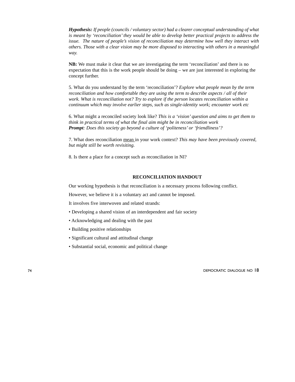*Hypothesis: If people (councils / voluntary sector) had a clearer conceptual understanding of what is meant by 'reconciliation' they would be able to develop better practical projects to address the issue. The nature of people's vision of reconciliation may determine how well they interact with others. Those with a clear vision may be more disposed to interacting with others in a meaningful way.*

**NB:** We must make it clear that we are investigating the term 'reconciliation' and there is no expectation that this is the work people should be doing – we are just interested in exploring the concept further.

5. What do you understand by the term 'reconciliation'? *Explore what people mean by the term reconciliation and how comfortable they are using the term to describe aspects / all of their work. What is reconciliation not? Try to explore if the person locates reconciliation within a continuum which may involve earlier steps, such as single-identity work; encounter work etc*

6. What might a reconciled society look like? *This is a 'vision' question and aims to get them to think in practical terms of what the final aim might be in reconciliation work Prompt: Does this society go beyond a culture of 'politeness' or 'friendliness'?*

7. What does reconciliation mean in your work context? *This may have been previously covered, but might still be worth revisiting.*

8. Is there a place for a concept such as reconciliation in NI?

## **RECONCILIATION HANDOUT**

Our working hypothesis is that reconciliation is a necessary process following conflict.

However, we believe it is a voluntary act and cannot be imposed.

It involves five interwoven and related strands:

- Developing a shared vision of an interdependent and fair society
- Acknowledging and dealing with the past
- Building positive relationships
- Significant cultural and attitudinal change
- Substantial social, economic and political change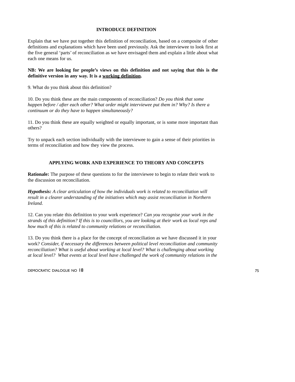## **INTRODUCE DEFINITION**

Explain that we have put together this definition of reconciliation, based on a composite of other definitions and explanations which have been used previously. Ask the interviewee to look first at the five general 'parts' of reconciliation as we have envisaged them and explain a little about what each one means for us.

## **NB: We are looking for people's views on this definition and not saying that this is the definitive version in any way. It is a working definition.**

9. What do you think about this definition?

10. Do you think these are the main components of reconciliation? *Do you think that some happen before / after each other? What order might interviewee put them in? Why? Is there a continuum or do they have to happen simultaneously?*

11. Do you think these are equally weighted or equally important, or is some more important than others?

Try to unpack each section individually with the interviewee to gain a sense of their priorities in terms of reconciliation and how they view the process.

## **APPLYING WORK AND EXPERIENCE TO THEORY AND CONCEPTS**

**Rationale:** The purpose of these questions to for the interviewee to begin to relate their work to the discussion on reconciliation.

*Hypothesis: A clear articulation of how the individuals work is related to reconciliation will result in a clearer understanding of the initiatives which may assist reconciliation in Northern Ireland.* 

12. Can you relate this definition to your work experience? *Can you recognise your work in the strands of this definition? If this is to councillors, you are looking at their work as local reps and how much of this is related to community relations or reconciliation.*

13. Do you think there is a place for the concept of reconciliation as we have discussed it in your work? *Consider, if necessary the differences between political level reconciliation and community reconciliation? What is useful about working at local level? What is challenging about working at local level? What events at local level have challenged the work of community relations in the*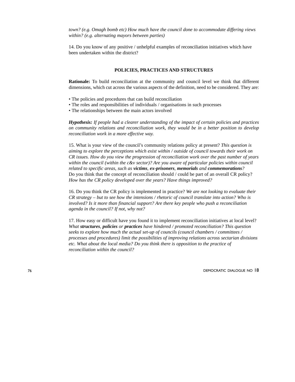*town? (e.g. Omagh bomb etc) How much have the council done to accommodate differing views within? (e.g. alternating mayors between parties)*

14. Do you know of any positive / unhelpful examples of reconciliation initiatives which have been undertaken within the district?

#### **POLICIES, PRACTICES AND STRUCTURES**

**Rationale:** To build reconciliation at the community and council level we think that different dimensions, which cut across the various aspects of the definition, need to be considered. They are:

- The policies and procedures that can build reconciliation
- The roles and responsibilities of individuals / organisations in such processes
- The relationships between the main actors involved

*Hypothesis: If people had a clearer understanding of the impact of certain policies and practices on community relations and reconciliation work, they would be in a better position to develop reconciliation work in a more effective way.*

15. What is your view of the council's community relations policy at present? *This question is aiming to explore the perceptions which exist within / outside of council towards their work on CR issues. How do you view the progression of reconciliation work over the past number of years within the council (within the c&v sector)? Are you aware of particular policies within council related to specific areas, such as victims, ex-prisoners, memorials and commemorations?* Do you think that the concept of reconciliation should / could be part of an overall CR policy? *How has the CR policy developed over the years? Have things improved?*

16. Do you think the CR policy is implemented in practice? *We are not looking to evaluate their CR strategy – but to see how the intensions / rhetoric of council translate into action? Who is involved? Is it more than financial support? Are there key people who push a reconciliation agenda in the council? If not, why not?*

17. How easy or difficult have you found it to implement reconciliation initiatives at local level? *What structures, policies or practices have hindered / promoted reconciliation? This question seeks to explore how much the actual set-up of councils (council chambers / committees / processes and procedures) limit the possibilities of improving relations across sectarian divisions etc. What about the local media? Do you think there is opposition to the practice of reconciliation within the council?*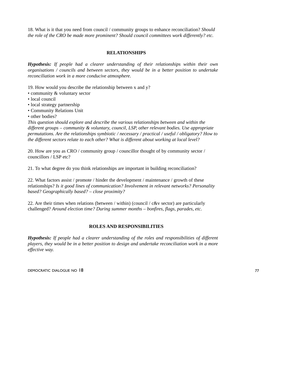18. What is it that you need from council / community groups to enhance reconciliation? *Should the role of the CRO be made more prominent? Should council committees work differently? etc.*

#### **RELATIONSHIPS**

*Hypothesis: If people had a clearer understanding of their relationships within their own organisations / councils and between sectors, they would be in a better position to undertake reconciliation work in a more conducive atmosphere.*

- 19. How would you describe the relationship between x and y?
- community & voluntary sector
- local council
- local strategy partnership
- Community Relations Unit
- other bodies?

*This question should explore and describe the various relationships between and within the different groups – community & voluntary, council, LSP, other relevant bodies. Use appropriate permutations. Are the relationships symbiotic / necessary / practical / useful / obligatory? How to the different sectors relate to each other? What is different about working at local level?*

20. How are you as CRO / community group / councillor thought of by community sector / councillors / LSP etc?

21. To what degree do you think relationships are important in building reconciliation?

22. What factors assist / promote / hinder the development / maintenance / growth of these relationships? *Is it good lines of communication? Involvement in relevant networks? Personality based? Geographically based? – close proximity?*

22. Are their times when relations (between / within) (council /  $c&v$  sector) are particularly challenged? *Around election time? During summer months – bonfires, flags, parades, etc.*

#### **ROLES AND RESPONSIBILITIES**

*Hypothesis: If people had a clearer understanding of the roles and responsibilities of different players, they would be in a better position to design and undertake reconciliation work in a more effective way.*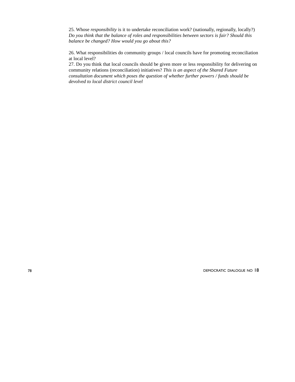25. Whose *responsibility* is it to undertake reconciliation work? (nationally, regionally, locally?) *Do you think that the balance of roles and responsibilities between sectors is fair? Should this balance be changed? How would you go about this?*

26. What responsibilities do community groups / local councils have for promoting reconciliation at local level?

27. Do you think that local councils should be given more or less responsibility for delivering on community relations (reconciliation) initiatives? *This is an aspect of the Shared Future consultation document which poses the question of whether further powers / funds should be devolved to local district council level*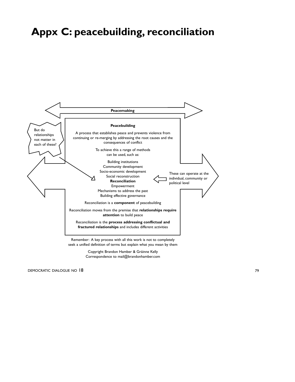## **Appx C: peacebuilding, reconciliation**



Copyright Brandon Hamber & Gráinne Kelly Correspondence to mail@brandonhamber.com